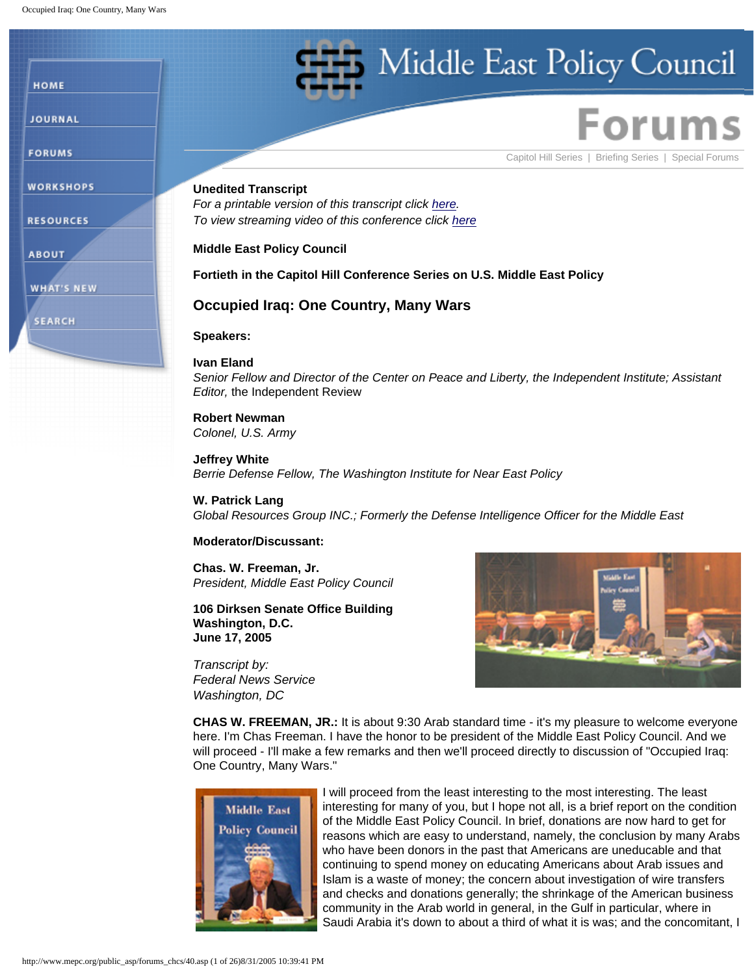HOME

**JOURNAL** 

**FORUMS** 

**WORKSHOPS** 

**RESOURCES** 

**WHAT'S NEW** 

**SEARCH** 

**ABOUT** 

Middle East Policy Council

[Capitol Hill Series](http://www.mepc.org/public_asp/forums/caphill.asp) | [Briefing Series](http://www.mepc.org/public_asp/forums/briefing.asp) | [Special Forums](http://www.mepc.org/public_asp/forums/special.asp)

# **Unedited Transcript**

*For a printable version of this transcript click [here.](http://www.mepc.org/public_asp/forums_chcs/40.html) To view streaming video of this conference click [here](http://www.mepc.org/public_asp/conference_video/conference_video.asp)*

# **Middle East Policy Council**

# **Fortieth in the Capitol Hill Conference Series on U.S. Middle East Policy**

# **Occupied Iraq: One Country, Many Wars**

**Speakers:** 

## **Ivan Eland**

*Senior Fellow and Director of the Center on Peace and Liberty, the Independent Institute; Assistant Editor,* the Independent Review

### **Robert Newman** *Colonel, U.S. Army*

**Jeffrey White** *Berrie Defense Fellow, The Washington Institute for Near East Policy*

## **W. Patrick Lang**

*Global Resources Group INC.; Formerly the Defense Intelligence Officer for the Middle East*

# **Moderator/Discussant:**

**Chas. W. Freeman, Jr.** *President, Middle East Policy Council*

## **106 Dirksen Senate Office Building Washington, D.C. June 17, 2005**

*Transcript by: Federal News Service Washington, DC*



**CHAS W. FREEMAN, JR.:** It is about 9:30 Arab standard time - it's my pleasure to welcome everyone here. I'm Chas Freeman. I have the honor to be president of the Middle East Policy Council. And we will proceed - I'll make a few remarks and then we'll proceed directly to discussion of "Occupied Iraq: One Country, Many Wars."



I will proceed from the least interesting to the most interesting. The least interesting for many of you, but I hope not all, is a brief report on the condition of the Middle East Policy Council. In brief, donations are now hard to get for reasons which are easy to understand, namely, the conclusion by many Arabs who have been donors in the past that Americans are uneducable and that continuing to spend money on educating Americans about Arab issues and Islam is a waste of money; the concern about investigation of wire transfers and checks and donations generally; the shrinkage of the American business community in the Arab world in general, in the Gulf in particular, where in Saudi Arabia it's down to about a third of what it is was; and the concomitant, I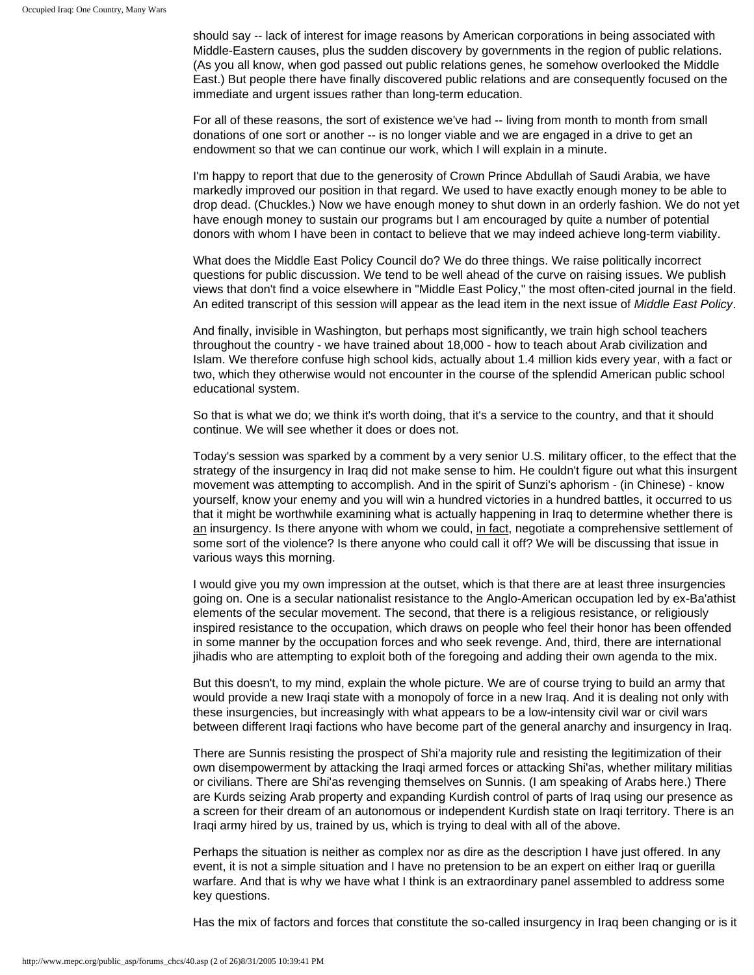should say -- lack of interest for image reasons by American corporations in being associated with Middle-Eastern causes, plus the sudden discovery by governments in the region of public relations. (As you all know, when god passed out public relations genes, he somehow overlooked the Middle East.) But people there have finally discovered public relations and are consequently focused on the immediate and urgent issues rather than long-term education.

For all of these reasons, the sort of existence we've had -- living from month to month from small donations of one sort or another -- is no longer viable and we are engaged in a drive to get an endowment so that we can continue our work, which I will explain in a minute.

I'm happy to report that due to the generosity of Crown Prince Abdullah of Saudi Arabia, we have markedly improved our position in that regard. We used to have exactly enough money to be able to drop dead. (Chuckles.) Now we have enough money to shut down in an orderly fashion. We do not yet have enough money to sustain our programs but I am encouraged by quite a number of potential donors with whom I have been in contact to believe that we may indeed achieve long-term viability.

What does the Middle East Policy Council do? We do three things. We raise politically incorrect questions for public discussion. We tend to be well ahead of the curve on raising issues. We publish views that don't find a voice elsewhere in "Middle East Policy," the most often-cited journal in the field. An edited transcript of this session will appear as the lead item in the next issue of *Middle East Policy*.

And finally, invisible in Washington, but perhaps most significantly, we train high school teachers throughout the country - we have trained about 18,000 - how to teach about Arab civilization and Islam. We therefore confuse high school kids, actually about 1.4 million kids every year, with a fact or two, which they otherwise would not encounter in the course of the splendid American public school educational system.

So that is what we do; we think it's worth doing, that it's a service to the country, and that it should continue. We will see whether it does or does not.

Today's session was sparked by a comment by a very senior U.S. military officer, to the effect that the strategy of the insurgency in Iraq did not make sense to him. He couldn't figure out what this insurgent movement was attempting to accomplish. And in the spirit of Sunzi's aphorism - (in Chinese) - know yourself, know your enemy and you will win a hundred victories in a hundred battles, it occurred to us that it might be worthwhile examining what is actually happening in Iraq to determine whether there is an insurgency. Is there anyone with whom we could, in fact, negotiate a comprehensive settlement of some sort of the violence? Is there anyone who could call it off? We will be discussing that issue in various ways this morning.

I would give you my own impression at the outset, which is that there are at least three insurgencies going on. One is a secular nationalist resistance to the Anglo-American occupation led by ex-Ba'athist elements of the secular movement. The second, that there is a religious resistance, or religiously inspired resistance to the occupation, which draws on people who feel their honor has been offended in some manner by the occupation forces and who seek revenge. And, third, there are international jihadis who are attempting to exploit both of the foregoing and adding their own agenda to the mix.

But this doesn't, to my mind, explain the whole picture. We are of course trying to build an army that would provide a new Iraqi state with a monopoly of force in a new Iraq. And it is dealing not only with these insurgencies, but increasingly with what appears to be a low-intensity civil war or civil wars between different Iraqi factions who have become part of the general anarchy and insurgency in Iraq.

There are Sunnis resisting the prospect of Shi'a majority rule and resisting the legitimization of their own disempowerment by attacking the Iraqi armed forces or attacking Shi'as, whether military militias or civilians. There are Shi'as revenging themselves on Sunnis. (I am speaking of Arabs here.) There are Kurds seizing Arab property and expanding Kurdish control of parts of Iraq using our presence as a screen for their dream of an autonomous or independent Kurdish state on Iraqi territory. There is an Iraqi army hired by us, trained by us, which is trying to deal with all of the above.

Perhaps the situation is neither as complex nor as dire as the description I have just offered. In any event, it is not a simple situation and I have no pretension to be an expert on either Iraq or guerilla warfare. And that is why we have what I think is an extraordinary panel assembled to address some key questions.

Has the mix of factors and forces that constitute the so-called insurgency in Iraq been changing or is it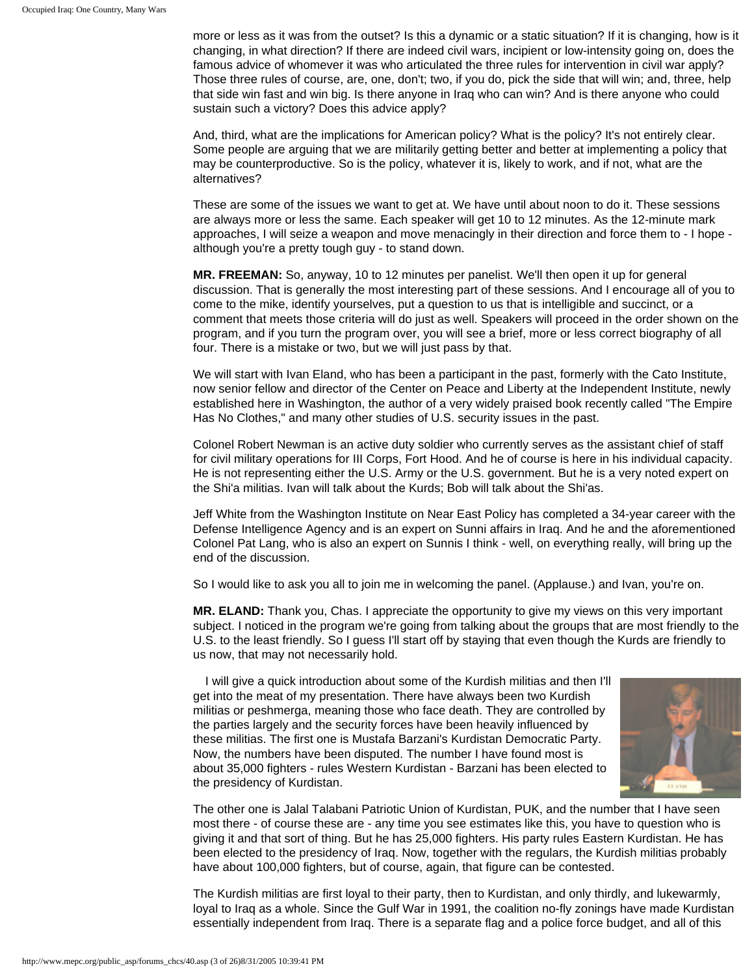more or less as it was from the outset? Is this a dynamic or a static situation? If it is changing, how is it changing, in what direction? If there are indeed civil wars, incipient or low-intensity going on, does the famous advice of whomever it was who articulated the three rules for intervention in civil war apply? Those three rules of course, are, one, don't; two, if you do, pick the side that will win; and, three, help that side win fast and win big. Is there anyone in Iraq who can win? And is there anyone who could sustain such a victory? Does this advice apply?

And, third, what are the implications for American policy? What is the policy? It's not entirely clear. Some people are arguing that we are militarily getting better and better at implementing a policy that may be counterproductive. So is the policy, whatever it is, likely to work, and if not, what are the alternatives?

These are some of the issues we want to get at. We have until about noon to do it. These sessions are always more or less the same. Each speaker will get 10 to 12 minutes. As the 12-minute mark approaches, I will seize a weapon and move menacingly in their direction and force them to - I hope although you're a pretty tough guy - to stand down.

**MR. FREEMAN:** So, anyway, 10 to 12 minutes per panelist. We'll then open it up for general discussion. That is generally the most interesting part of these sessions. And I encourage all of you to come to the mike, identify yourselves, put a question to us that is intelligible and succinct, or a comment that meets those criteria will do just as well. Speakers will proceed in the order shown on the program, and if you turn the program over, you will see a brief, more or less correct biography of all four. There is a mistake or two, but we will just pass by that.

We will start with Ivan Eland, who has been a participant in the past, formerly with the Cato Institute, now senior fellow and director of the Center on Peace and Liberty at the Independent Institute, newly established here in Washington, the author of a very widely praised book recently called "The Empire Has No Clothes," and many other studies of U.S. security issues in the past.

Colonel Robert Newman is an active duty soldier who currently serves as the assistant chief of staff for civil military operations for III Corps, Fort Hood. And he of course is here in his individual capacity. He is not representing either the U.S. Army or the U.S. government. But he is a very noted expert on the Shi'a militias. Ivan will talk about the Kurds; Bob will talk about the Shi'as.

Jeff White from the Washington Institute on Near East Policy has completed a 34-year career with the Defense Intelligence Agency and is an expert on Sunni affairs in Iraq. And he and the aforementioned Colonel Pat Lang, who is also an expert on Sunnis I think - well, on everything really, will bring up the end of the discussion.

So I would like to ask you all to join me in welcoming the panel. (Applause.) and Ivan, you're on.

**MR. ELAND:** Thank you, Chas. I appreciate the opportunity to give my views on this very important subject. I noticed in the program we're going from talking about the groups that are most friendly to the U.S. to the least friendly. So I guess I'll start off by staying that even though the Kurds are friendly to us now, that may not necessarily hold.

I will give a quick introduction about some of the Kurdish militias and then I'll get into the meat of my presentation. There have always been two Kurdish militias or peshmerga, meaning those who face death. They are controlled by the parties largely and the security forces have been heavily influenced by these militias. The first one is Mustafa Barzani's Kurdistan Democratic Party. Now, the numbers have been disputed. The number I have found most is about 35,000 fighters - rules Western Kurdistan - Barzani has been elected to the presidency of Kurdistan.



The other one is Jalal Talabani Patriotic Union of Kurdistan, PUK, and the number that I have seen most there - of course these are - any time you see estimates like this, you have to question who is giving it and that sort of thing. But he has 25,000 fighters. His party rules Eastern Kurdistan. He has been elected to the presidency of Iraq. Now, together with the regulars, the Kurdish militias probably have about 100,000 fighters, but of course, again, that figure can be contested.

The Kurdish militias are first loyal to their party, then to Kurdistan, and only thirdly, and lukewarmly, loyal to Iraq as a whole. Since the Gulf War in 1991, the coalition no-fly zonings have made Kurdistan essentially independent from Iraq. There is a separate flag and a police force budget, and all of this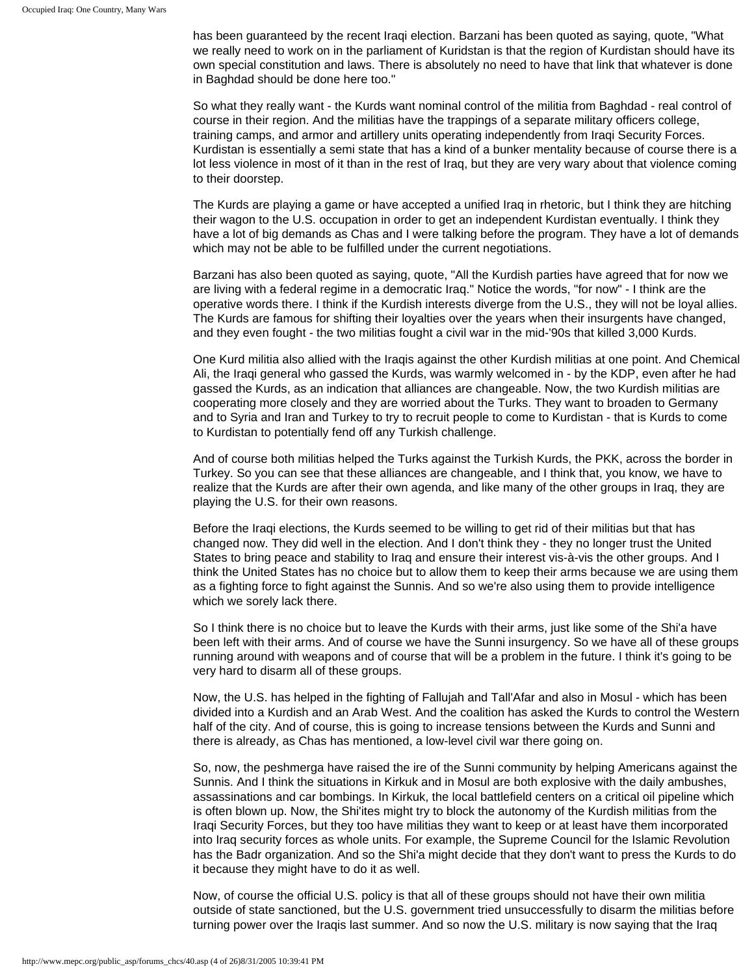has been guaranteed by the recent Iraqi election. Barzani has been quoted as saying, quote, "What we really need to work on in the parliament of Kuridstan is that the region of Kurdistan should have its own special constitution and laws. There is absolutely no need to have that link that whatever is done in Baghdad should be done here too."

So what they really want - the Kurds want nominal control of the militia from Baghdad - real control of course in their region. And the militias have the trappings of a separate military officers college, training camps, and armor and artillery units operating independently from Iraqi Security Forces. Kurdistan is essentially a semi state that has a kind of a bunker mentality because of course there is a lot less violence in most of it than in the rest of Iraq, but they are very wary about that violence coming to their doorstep.

The Kurds are playing a game or have accepted a unified Iraq in rhetoric, but I think they are hitching their wagon to the U.S. occupation in order to get an independent Kurdistan eventually. I think they have a lot of big demands as Chas and I were talking before the program. They have a lot of demands which may not be able to be fulfilled under the current negotiations.

Barzani has also been quoted as saying, quote, "All the Kurdish parties have agreed that for now we are living with a federal regime in a democratic Iraq." Notice the words, "for now" - I think are the operative words there. I think if the Kurdish interests diverge from the U.S., they will not be loyal allies. The Kurds are famous for shifting their loyalties over the years when their insurgents have changed, and they even fought - the two militias fought a civil war in the mid-'90s that killed 3,000 Kurds.

One Kurd militia also allied with the Iraqis against the other Kurdish militias at one point. And Chemical Ali, the Iraqi general who gassed the Kurds, was warmly welcomed in - by the KDP, even after he had gassed the Kurds, as an indication that alliances are changeable. Now, the two Kurdish militias are cooperating more closely and they are worried about the Turks. They want to broaden to Germany and to Syria and Iran and Turkey to try to recruit people to come to Kurdistan - that is Kurds to come to Kurdistan to potentially fend off any Turkish challenge.

And of course both militias helped the Turks against the Turkish Kurds, the PKK, across the border in Turkey. So you can see that these alliances are changeable, and I think that, you know, we have to realize that the Kurds are after their own agenda, and like many of the other groups in Iraq, they are playing the U.S. for their own reasons.

Before the Iraqi elections, the Kurds seemed to be willing to get rid of their militias but that has changed now. They did well in the election. And I don't think they - they no longer trust the United States to bring peace and stability to Iraq and ensure their interest vis-à-vis the other groups. And I think the United States has no choice but to allow them to keep their arms because we are using them as a fighting force to fight against the Sunnis. And so we're also using them to provide intelligence which we sorely lack there.

So I think there is no choice but to leave the Kurds with their arms, just like some of the Shi'a have been left with their arms. And of course we have the Sunni insurgency. So we have all of these groups running around with weapons and of course that will be a problem in the future. I think it's going to be very hard to disarm all of these groups.

Now, the U.S. has helped in the fighting of Fallujah and Tall'Afar and also in Mosul - which has been divided into a Kurdish and an Arab West. And the coalition has asked the Kurds to control the Western half of the city. And of course, this is going to increase tensions between the Kurds and Sunni and there is already, as Chas has mentioned, a low-level civil war there going on.

So, now, the peshmerga have raised the ire of the Sunni community by helping Americans against the Sunnis. And I think the situations in Kirkuk and in Mosul are both explosive with the daily ambushes, assassinations and car bombings. In Kirkuk, the local battlefield centers on a critical oil pipeline which is often blown up. Now, the Shi'ites might try to block the autonomy of the Kurdish militias from the Iraqi Security Forces, but they too have militias they want to keep or at least have them incorporated into Iraq security forces as whole units. For example, the Supreme Council for the Islamic Revolution has the Badr organization. And so the Shi'a might decide that they don't want to press the Kurds to do it because they might have to do it as well.

Now, of course the official U.S. policy is that all of these groups should not have their own militia outside of state sanctioned, but the U.S. government tried unsuccessfully to disarm the militias before turning power over the Iraqis last summer. And so now the U.S. military is now saying that the Iraq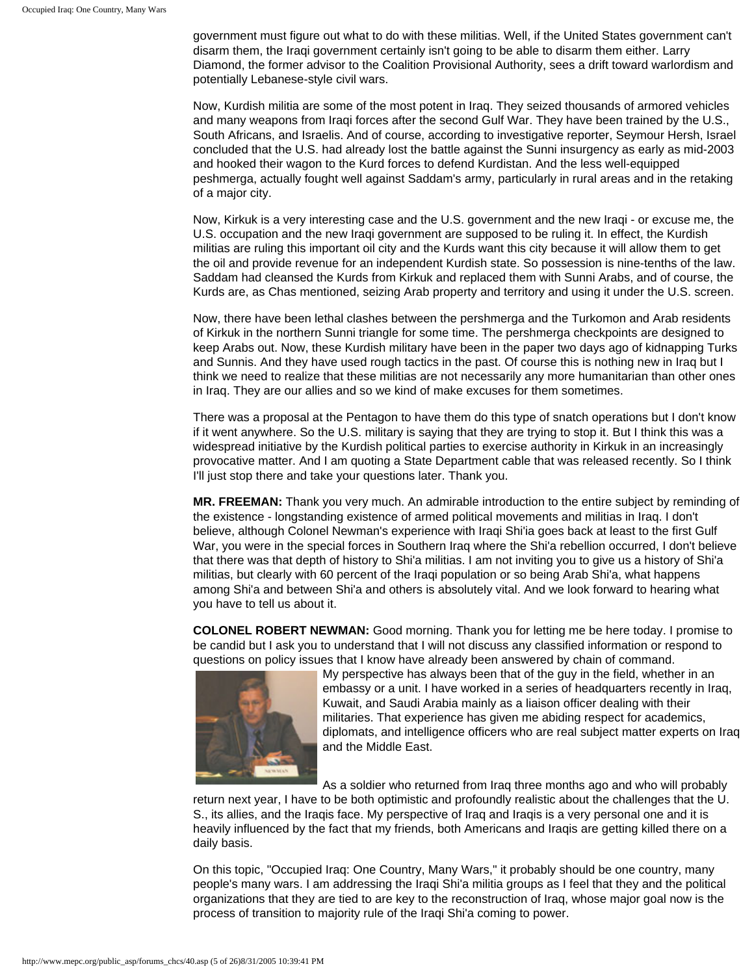government must figure out what to do with these militias. Well, if the United States government can't disarm them, the Iraqi government certainly isn't going to be able to disarm them either. Larry Diamond, the former advisor to the Coalition Provisional Authority, sees a drift toward warlordism and potentially Lebanese-style civil wars.

Now, Kurdish militia are some of the most potent in Iraq. They seized thousands of armored vehicles and many weapons from Iraqi forces after the second Gulf War. They have been trained by the U.S., South Africans, and Israelis. And of course, according to investigative reporter, Seymour Hersh, Israel concluded that the U.S. had already lost the battle against the Sunni insurgency as early as mid-2003 and hooked their wagon to the Kurd forces to defend Kurdistan. And the less well-equipped peshmerga, actually fought well against Saddam's army, particularly in rural areas and in the retaking of a major city.

Now, Kirkuk is a very interesting case and the U.S. government and the new Iraqi - or excuse me, the U.S. occupation and the new Iraqi government are supposed to be ruling it. In effect, the Kurdish militias are ruling this important oil city and the Kurds want this city because it will allow them to get the oil and provide revenue for an independent Kurdish state. So possession is nine-tenths of the law. Saddam had cleansed the Kurds from Kirkuk and replaced them with Sunni Arabs, and of course, the Kurds are, as Chas mentioned, seizing Arab property and territory and using it under the U.S. screen.

Now, there have been lethal clashes between the pershmerga and the Turkomon and Arab residents of Kirkuk in the northern Sunni triangle for some time. The pershmerga checkpoints are designed to keep Arabs out. Now, these Kurdish military have been in the paper two days ago of kidnapping Turks and Sunnis. And they have used rough tactics in the past. Of course this is nothing new in Iraq but I think we need to realize that these militias are not necessarily any more humanitarian than other ones in Iraq. They are our allies and so we kind of make excuses for them sometimes.

There was a proposal at the Pentagon to have them do this type of snatch operations but I don't know if it went anywhere. So the U.S. military is saying that they are trying to stop it. But I think this was a widespread initiative by the Kurdish political parties to exercise authority in Kirkuk in an increasingly provocative matter. And I am quoting a State Department cable that was released recently. So I think I'll just stop there and take your questions later. Thank you.

**MR. FREEMAN:** Thank you very much. An admirable introduction to the entire subject by reminding of the existence - longstanding existence of armed political movements and militias in Iraq. I don't believe, although Colonel Newman's experience with Iraqi Shi'ia goes back at least to the first Gulf War, you were in the special forces in Southern Iraq where the Shi'a rebellion occurred, I don't believe that there was that depth of history to Shi'a militias. I am not inviting you to give us a history of Shi'a militias, but clearly with 60 percent of the Iraqi population or so being Arab Shi'a, what happens among Shi'a and between Shi'a and others is absolutely vital. And we look forward to hearing what you have to tell us about it.

**COLONEL ROBERT NEWMAN:** Good morning. Thank you for letting me be here today. I promise to be candid but I ask you to understand that I will not discuss any classified information or respond to questions on policy issues that I know have already been answered by chain of command.



My perspective has always been that of the guy in the field, whether in an embassy or a unit. I have worked in a series of headquarters recently in Iraq, Kuwait, and Saudi Arabia mainly as a liaison officer dealing with their militaries. That experience has given me abiding respect for academics, diplomats, and intelligence officers who are real subject matter experts on Iraq and the Middle East.

As a soldier who returned from Iraq three months ago and who will probably

return next year, I have to be both optimistic and profoundly realistic about the challenges that the U. S., its allies, and the Iraqis face. My perspective of Iraq and Iraqis is a very personal one and it is heavily influenced by the fact that my friends, both Americans and Iraqis are getting killed there on a daily basis.

On this topic, "Occupied Iraq: One Country, Many Wars," it probably should be one country, many people's many wars. I am addressing the Iraqi Shi'a militia groups as I feel that they and the political organizations that they are tied to are key to the reconstruction of Iraq, whose major goal now is the process of transition to majority rule of the Iraqi Shi'a coming to power.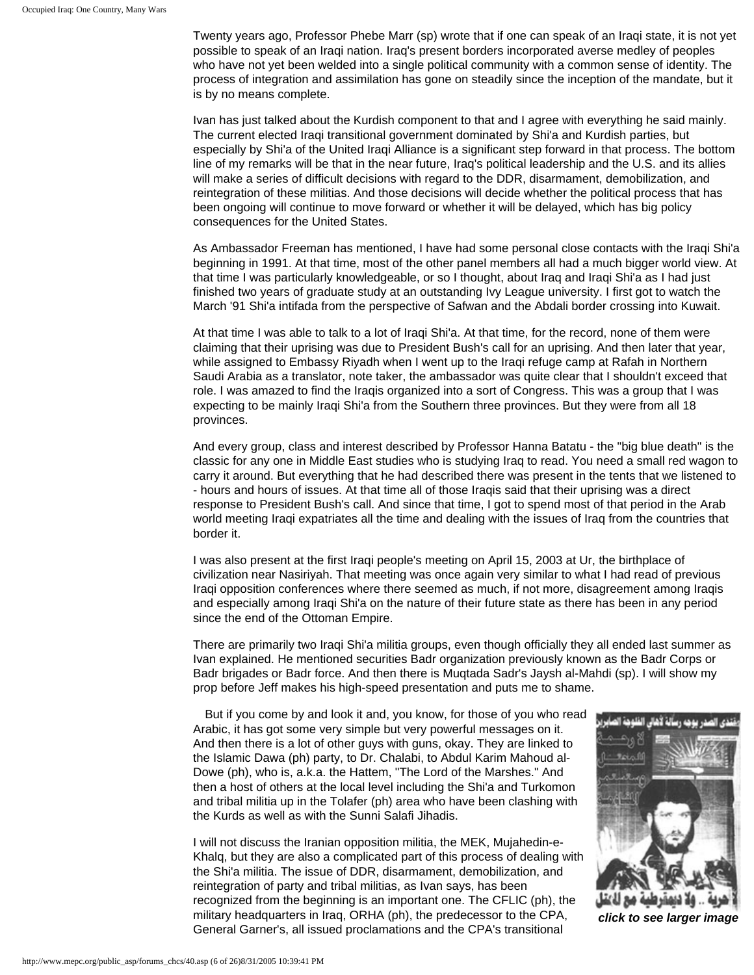Twenty years ago, Professor Phebe Marr (sp) wrote that if one can speak of an Iraqi state, it is not yet possible to speak of an Iraqi nation. Iraq's present borders incorporated averse medley of peoples who have not yet been welded into a single political community with a common sense of identity. The process of integration and assimilation has gone on steadily since the inception of the mandate, but it is by no means complete.

Ivan has just talked about the Kurdish component to that and I agree with everything he said mainly. The current elected Iraqi transitional government dominated by Shi'a and Kurdish parties, but especially by Shi'a of the United Iraqi Alliance is a significant step forward in that process. The bottom line of my remarks will be that in the near future, Iraq's political leadership and the U.S. and its allies will make a series of difficult decisions with regard to the DDR, disarmament, demobilization, and reintegration of these militias. And those decisions will decide whether the political process that has been ongoing will continue to move forward or whether it will be delayed, which has big policy consequences for the United States.

As Ambassador Freeman has mentioned, I have had some personal close contacts with the Iraqi Shi'a beginning in 1991. At that time, most of the other panel members all had a much bigger world view. At that time I was particularly knowledgeable, or so I thought, about Iraq and Iraqi Shi'a as I had just finished two years of graduate study at an outstanding Ivy League university. I first got to watch the March '91 Shi'a intifada from the perspective of Safwan and the Abdali border crossing into Kuwait.

At that time I was able to talk to a lot of Iraqi Shi'a. At that time, for the record, none of them were claiming that their uprising was due to President Bush's call for an uprising. And then later that year, while assigned to Embassy Riyadh when I went up to the Iraqi refuge camp at Rafah in Northern Saudi Arabia as a translator, note taker, the ambassador was quite clear that I shouldn't exceed that role. I was amazed to find the Iraqis organized into a sort of Congress. This was a group that I was expecting to be mainly Iraqi Shi'a from the Southern three provinces. But they were from all 18 provinces.

And every group, class and interest described by Professor Hanna Batatu - the "big blue death" is the classic for any one in Middle East studies who is studying Iraq to read. You need a small red wagon to carry it around. But everything that he had described there was present in the tents that we listened to - hours and hours of issues. At that time all of those Iraqis said that their uprising was a direct response to President Bush's call. And since that time, I got to spend most of that period in the Arab world meeting Iraqi expatriates all the time and dealing with the issues of Iraq from the countries that border it.

I was also present at the first Iraqi people's meeting on April 15, 2003 at Ur, the birthplace of civilization near Nasiriyah. That meeting was once again very similar to what I had read of previous Iraqi opposition conferences where there seemed as much, if not more, disagreement among Iraqis and especially among Iraqi Shi'a on the nature of their future state as there has been in any period since the end of the Ottoman Empire.

There are primarily two Iraqi Shi'a militia groups, even though officially they all ended last summer as Ivan explained. He mentioned securities Badr organization previously known as the Badr Corps or Badr brigades or Badr force. And then there is Muqtada Sadr's Jaysh al-Mahdi (sp). I will show my prop before Jeff makes his high-speed presentation and puts me to shame.

But if you come by and look it and, you know, for those of you who read Arabic, it has got some very simple but very powerful messages on it. And then there is a lot of other guys with guns, okay. They are linked to the Islamic Dawa (ph) party, to Dr. Chalabi, to Abdul Karim Mahoud al-Dowe (ph), who is, a.k.a. the Hattem, "The Lord of the Marshes." And then a host of others at the local level including the Shi'a and Turkomon and tribal militia up in the Tolafer (ph) area who have been clashing with the Kurds as well as with the Sunni Salafi Jihadis.

I will not discuss the Iranian opposition militia, the MEK, Mujahedin-e-Khalq, but they are also a complicated part of this process of dealing with the Shi'a militia. The issue of DDR, disarmament, demobilization, and reintegration of party and tribal militias, as Ivan says, has been recognized from the beginning is an important one. The CFLIC (ph), the military headquarters in Iraq, ORHA (ph), the predecessor to the CPA, General Garner's, all issued proclamations and the CPA's transitional



*click to see larger image*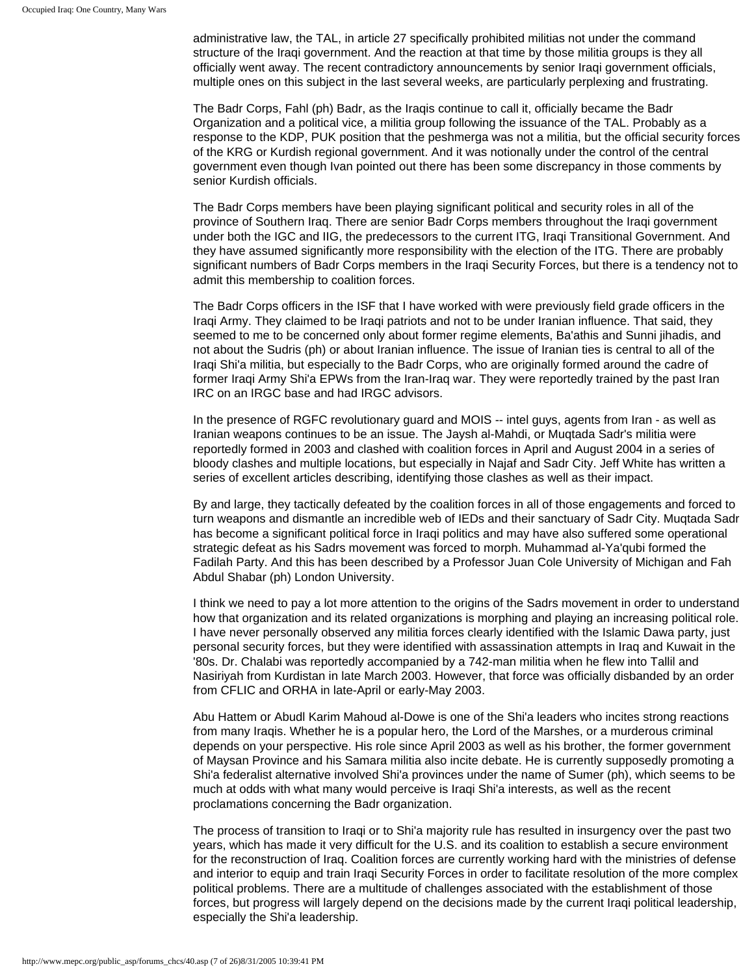administrative law, the TAL, in article 27 specifically prohibited militias not under the command structure of the Iraqi government. And the reaction at that time by those militia groups is they all officially went away. The recent contradictory announcements by senior Iraqi government officials, multiple ones on this subject in the last several weeks, are particularly perplexing and frustrating.

The Badr Corps, Fahl (ph) Badr, as the Iraqis continue to call it, officially became the Badr Organization and a political vice, a militia group following the issuance of the TAL. Probably as a response to the KDP, PUK position that the peshmerga was not a militia, but the official security forces of the KRG or Kurdish regional government. And it was notionally under the control of the central government even though Ivan pointed out there has been some discrepancy in those comments by senior Kurdish officials.

The Badr Corps members have been playing significant political and security roles in all of the province of Southern Iraq. There are senior Badr Corps members throughout the Iraqi government under both the IGC and IIG, the predecessors to the current ITG, Iraqi Transitional Government. And they have assumed significantly more responsibility with the election of the ITG. There are probably significant numbers of Badr Corps members in the Iraqi Security Forces, but there is a tendency not to admit this membership to coalition forces.

The Badr Corps officers in the ISF that I have worked with were previously field grade officers in the Iraqi Army. They claimed to be Iraqi patriots and not to be under Iranian influence. That said, they seemed to me to be concerned only about former regime elements, Ba'athis and Sunni jihadis, and not about the Sudris (ph) or about Iranian influence. The issue of Iranian ties is central to all of the Iraqi Shi'a militia, but especially to the Badr Corps, who are originally formed around the cadre of former Iraqi Army Shi'a EPWs from the Iran-Iraq war. They were reportedly trained by the past Iran IRC on an IRGC base and had IRGC advisors.

In the presence of RGFC revolutionary guard and MOIS -- intel guys, agents from Iran - as well as Iranian weapons continues to be an issue. The Jaysh al-Mahdi, or Muqtada Sadr's militia were reportedly formed in 2003 and clashed with coalition forces in April and August 2004 in a series of bloody clashes and multiple locations, but especially in Najaf and Sadr City. Jeff White has written a series of excellent articles describing, identifying those clashes as well as their impact.

By and large, they tactically defeated by the coalition forces in all of those engagements and forced to turn weapons and dismantle an incredible web of IEDs and their sanctuary of Sadr City. Muqtada Sadr has become a significant political force in Iraqi politics and may have also suffered some operational strategic defeat as his Sadrs movement was forced to morph. Muhammad al-Ya'qubi formed the Fadilah Party. And this has been described by a Professor Juan Cole University of Michigan and Fah Abdul Shabar (ph) London University.

I think we need to pay a lot more attention to the origins of the Sadrs movement in order to understand how that organization and its related organizations is morphing and playing an increasing political role. I have never personally observed any militia forces clearly identified with the Islamic Dawa party, just personal security forces, but they were identified with assassination attempts in Iraq and Kuwait in the '80s. Dr. Chalabi was reportedly accompanied by a 742-man militia when he flew into Tallil and Nasiriyah from Kurdistan in late March 2003. However, that force was officially disbanded by an order from CFLIC and ORHA in late-April or early-May 2003.

Abu Hattem or Abudl Karim Mahoud al-Dowe is one of the Shi'a leaders who incites strong reactions from many Iraqis. Whether he is a popular hero, the Lord of the Marshes, or a murderous criminal depends on your perspective. His role since April 2003 as well as his brother, the former government of Maysan Province and his Samara militia also incite debate. He is currently supposedly promoting a Shi'a federalist alternative involved Shi'a provinces under the name of Sumer (ph), which seems to be much at odds with what many would perceive is Iraqi Shi'a interests, as well as the recent proclamations concerning the Badr organization.

The process of transition to Iraqi or to Shi'a majority rule has resulted in insurgency over the past two years, which has made it very difficult for the U.S. and its coalition to establish a secure environment for the reconstruction of Iraq. Coalition forces are currently working hard with the ministries of defense and interior to equip and train Iraqi Security Forces in order to facilitate resolution of the more complex political problems. There are a multitude of challenges associated with the establishment of those forces, but progress will largely depend on the decisions made by the current Iraqi political leadership, especially the Shi'a leadership.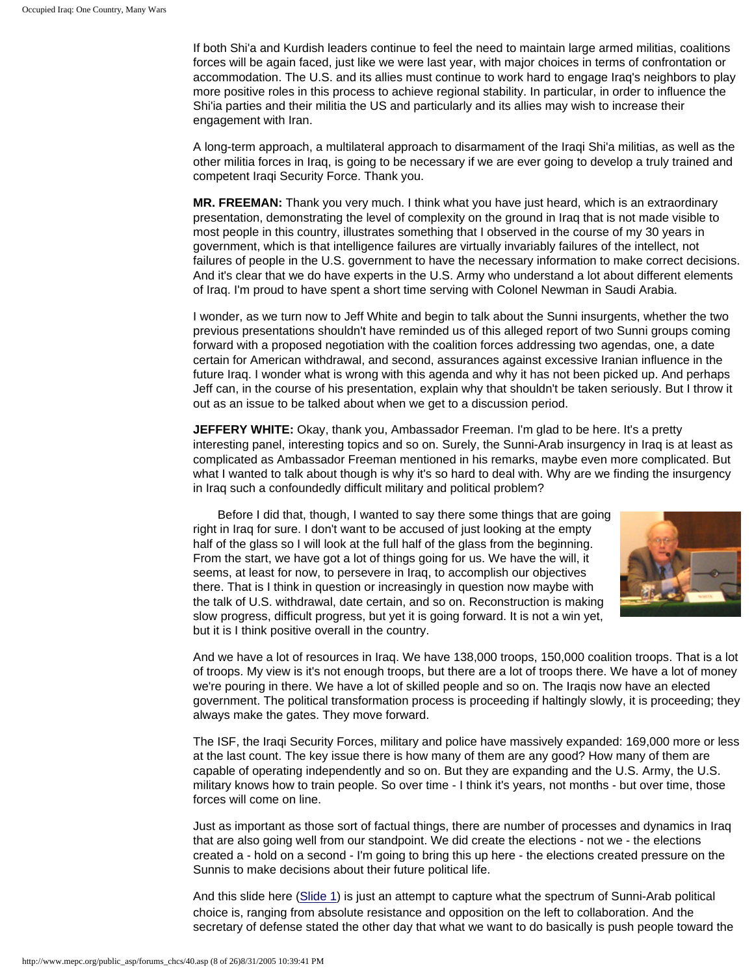If both Shi'a and Kurdish leaders continue to feel the need to maintain large armed militias, coalitions forces will be again faced, just like we were last year, with major choices in terms of confrontation or accommodation. The U.S. and its allies must continue to work hard to engage Iraq's neighbors to play more positive roles in this process to achieve regional stability. In particular, in order to influence the Shi'ia parties and their militia the US and particularly and its allies may wish to increase their engagement with Iran.

A long-term approach, a multilateral approach to disarmament of the Iraqi Shi'a militias, as well as the other militia forces in Iraq, is going to be necessary if we are ever going to develop a truly trained and competent Iraqi Security Force. Thank you.

**MR. FREEMAN:** Thank you very much. I think what you have just heard, which is an extraordinary presentation, demonstrating the level of complexity on the ground in Iraq that is not made visible to most people in this country, illustrates something that I observed in the course of my 30 years in government, which is that intelligence failures are virtually invariably failures of the intellect, not failures of people in the U.S. government to have the necessary information to make correct decisions. And it's clear that we do have experts in the U.S. Army who understand a lot about different elements of Iraq. I'm proud to have spent a short time serving with Colonel Newman in Saudi Arabia.

I wonder, as we turn now to Jeff White and begin to talk about the Sunni insurgents, whether the two previous presentations shouldn't have reminded us of this alleged report of two Sunni groups coming forward with a proposed negotiation with the coalition forces addressing two agendas, one, a date certain for American withdrawal, and second, assurances against excessive Iranian influence in the future Iraq. I wonder what is wrong with this agenda and why it has not been picked up. And perhaps Jeff can, in the course of his presentation, explain why that shouldn't be taken seriously. But I throw it out as an issue to be talked about when we get to a discussion period.

**JEFFERY WHITE:** Okay, thank you, Ambassador Freeman. I'm glad to be here. It's a pretty interesting panel, interesting topics and so on. Surely, the Sunni-Arab insurgency in Iraq is at least as complicated as Ambassador Freeman mentioned in his remarks, maybe even more complicated. But what I wanted to talk about though is why it's so hard to deal with. Why are we finding the insurgency in Iraq such a confoundedly difficult military and political problem?

Before I did that, though, I wanted to say there some things that are going right in Iraq for sure. I don't want to be accused of just looking at the empty half of the glass so I will look at the full half of the glass from the beginning. From the start, we have got a lot of things going for us. We have the will, it seems, at least for now, to persevere in Iraq, to accomplish our objectives there. That is I think in question or increasingly in question now maybe with the talk of U.S. withdrawal, date certain, and so on. Reconstruction is making slow progress, difficult progress, but yet it is going forward. It is not a win yet, but it is I think positive overall in the country.



And we have a lot of resources in Iraq. We have 138,000 troops, 150,000 coalition troops. That is a lot of troops. My view is it's not enough troops, but there are a lot of troops there. We have a lot of money we're pouring in there. We have a lot of skilled people and so on. The Iraqis now have an elected government. The political transformation process is proceeding if haltingly slowly, it is proceeding; they always make the gates. They move forward.

The ISF, the Iraqi Security Forces, military and police have massively expanded: 169,000 more or less at the last count. The key issue there is how many of them are any good? How many of them are capable of operating independently and so on. But they are expanding and the U.S. Army, the U.S. military knows how to train people. So over time - I think it's years, not months - but over time, those forces will come on line.

Just as important as those sort of factual things, there are number of processes and dynamics in Iraq that are also going well from our standpoint. We did create the elections - not we - the elections created a - hold on a second - I'm going to bring this up here - the elections created pressure on the Sunnis to make decisions about their future political life.

And this slide here ([Slide 1\)](http://www.mepc.org/public_asp/forums_chcs/Slide1.JPG) is just an attempt to capture what the spectrum of Sunni-Arab political choice is, ranging from absolute resistance and opposition on the left to collaboration. And the secretary of defense stated the other day that what we want to do basically is push people toward the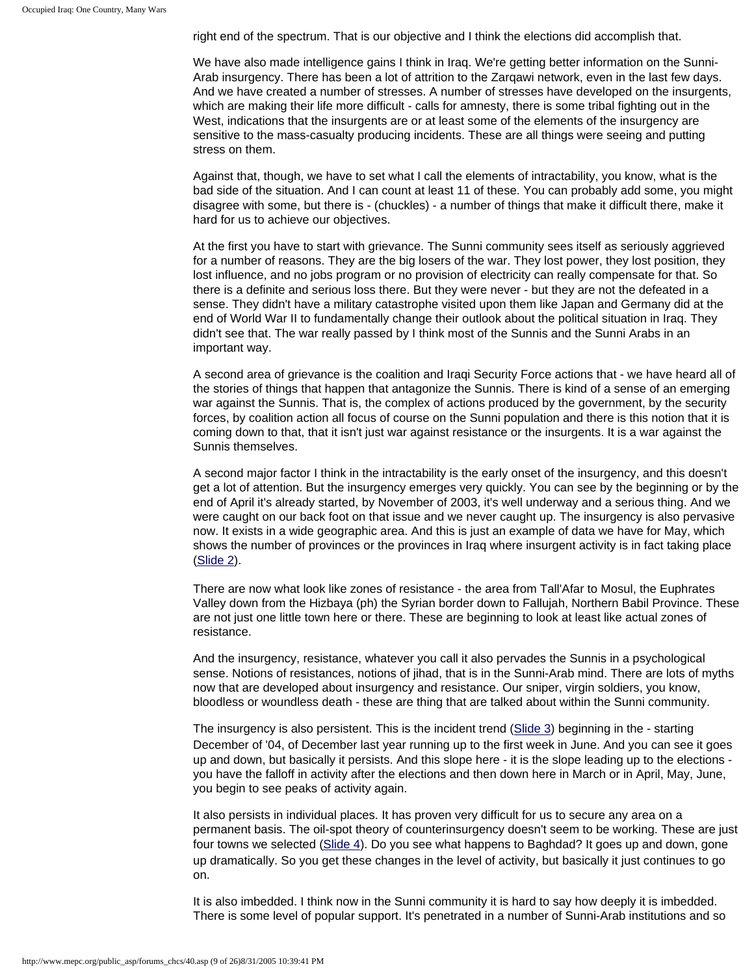right end of the spectrum. That is our objective and I think the elections did accomplish that.

We have also made intelligence gains I think in Iraq. We're getting better information on the Sunni-Arab insurgency. There has been a lot of attrition to the Zarqawi network, even in the last few days. And we have created a number of stresses. A number of stresses have developed on the insurgents, which are making their life more difficult - calls for amnesty, there is some tribal fighting out in the West, indications that the insurgents are or at least some of the elements of the insurgency are sensitive to the mass-casualty producing incidents. These are all things were seeing and putting stress on them.

Against that, though, we have to set what I call the elements of intractability, you know, what is the bad side of the situation. And I can count at least 11 of these. You can probably add some, you might disagree with some, but there is - (chuckles) - a number of things that make it difficult there, make it hard for us to achieve our objectives.

At the first you have to start with grievance. The Sunni community sees itself as seriously aggrieved for a number of reasons. They are the big losers of the war. They lost power, they lost position, they lost influence, and no jobs program or no provision of electricity can really compensate for that. So there is a definite and serious loss there. But they were never - but they are not the defeated in a sense. They didn't have a military catastrophe visited upon them like Japan and Germany did at the end of World War II to fundamentally change their outlook about the political situation in Iraq. They didn't see that. The war really passed by I think most of the Sunnis and the Sunni Arabs in an important way.

A second area of grievance is the coalition and Iraqi Security Force actions that - we have heard all of the stories of things that happen that antagonize the Sunnis. There is kind of a sense of an emerging war against the Sunnis. That is, the complex of actions produced by the government, by the security forces, by coalition action all focus of course on the Sunni population and there is this notion that it is coming down to that, that it isn't just war against resistance or the insurgents. It is a war against the Sunnis themselves.

A second major factor I think in the intractability is the early onset of the insurgency, and this doesn't get a lot of attention. But the insurgency emerges very quickly. You can see by the beginning or by the end of April it's already started, by November of 2003, it's well underway and a serious thing. And we were caught on our back foot on that issue and we never caught up. The insurgency is also pervasive now. It exists in a wide geographic area. And this is just an example of data we have for May, which shows the number of provinces or the provinces in Iraq where insurgent activity is in fact taking place [\(Slide 2](http://www.mepc.org/public_asp/forums_chcs/Slide2.JPG)).

There are now what look like zones of resistance - the area from Tall'Afar to Mosul, the Euphrates Valley down from the Hizbaya (ph) the Syrian border down to Fallujah, Northern Babil Province. These are not just one little town here or there. These are beginning to look at least like actual zones of resistance.

And the insurgency, resistance, whatever you call it also pervades the Sunnis in a psychological sense. Notions of resistances, notions of jihad, that is in the Sunni-Arab mind. There are lots of myths now that are developed about insurgency and resistance. Our sniper, virgin soldiers, you know, bloodless or woundless death - these are thing that are talked about within the Sunni community.

The insurgency is also persistent. This is the incident trend [\(Slide 3](http://www.mepc.org/public_asp/forums_chcs/Slide3.JPG)) beginning in the - starting December of '04, of December last year running up to the first week in June. And you can see it goes up and down, but basically it persists. And this slope here - it is the slope leading up to the elections you have the falloff in activity after the elections and then down here in March or in April, May, June, you begin to see peaks of activity again.

It also persists in individual places. It has proven very difficult for us to secure any area on a permanent basis. The oil-spot theory of counterinsurgency doesn't seem to be working. These are just four towns we selected ([Slide 4\)](http://www.mepc.org/public_asp/forums_chcs/Slide4.JPG). Do you see what happens to Baghdad? It goes up and down, gone up dramatically. So you get these changes in the level of activity, but basically it just continues to go on.

It is also imbedded. I think now in the Sunni community it is hard to say how deeply it is imbedded. There is some level of popular support. It's penetrated in a number of Sunni-Arab institutions and so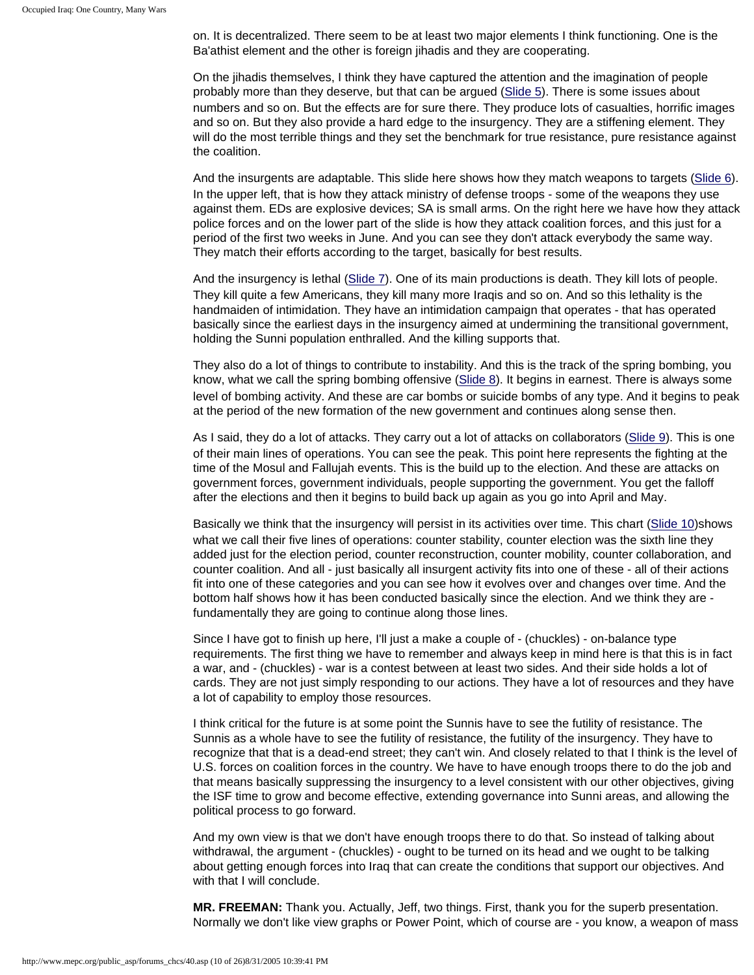on. It is decentralized. There seem to be at least two major elements I think functioning. One is the Ba'athist element and the other is foreign jihadis and they are cooperating.

On the jihadis themselves, I think they have captured the attention and the imagination of people probably more than they deserve, but that can be argued ([Slide 5\)](http://www.mepc.org/public_asp/forums_chcs/Slide5.JPG). There is some issues about numbers and so on. But the effects are for sure there. They produce lots of casualties, horrific images and so on. But they also provide a hard edge to the insurgency. They are a stiffening element. They will do the most terrible things and they set the benchmark for true resistance, pure resistance against the coalition.

And the insurgents are adaptable. This slide here shows how they match weapons to targets [\(Slide 6](http://www.mepc.org/public_asp/forums_chcs/Slide6.JPG)). In the upper left, that is how they attack ministry of defense troops - some of the weapons they use against them. EDs are explosive devices; SA is small arms. On the right here we have how they attack police forces and on the lower part of the slide is how they attack coalition forces, and this just for a period of the first two weeks in June. And you can see they don't attack everybody the same way. They match their efforts according to the target, basically for best results.

And the insurgency is lethal ([Slide 7\)](http://www.mepc.org/public_asp/forums_chcs/Slide7.JPG). One of its main productions is death. They kill lots of people. They kill quite a few Americans, they kill many more Iraqis and so on. And so this lethality is the handmaiden of intimidation. They have an intimidation campaign that operates - that has operated basically since the earliest days in the insurgency aimed at undermining the transitional government, holding the Sunni population enthralled. And the killing supports that.

They also do a lot of things to contribute to instability. And this is the track of the spring bombing, you know, what we call the spring bombing offensive ([Slide 8\)](http://www.mepc.org/public_asp/forums_chcs/Slide8.JPG). It begins in earnest. There is always some level of bombing activity. And these are car bombs or suicide bombs of any type. And it begins to peak at the period of the new formation of the new government and continues along sense then.

As I said, they do a lot of attacks. They carry out a lot of attacks on collaborators ([Slide 9\)](http://www.mepc.org/public_asp/forums_chcs/Slide9.JPG). This is one of their main lines of operations. You can see the peak. This point here represents the fighting at the time of the Mosul and Fallujah events. This is the build up to the election. And these are attacks on government forces, government individuals, people supporting the government. You get the falloff after the elections and then it begins to build back up again as you go into April and May.

Basically we think that the insurgency will persist in its activities over time. This chart ([Slide 10](http://www.mepc.org/public_asp/forums_chcs/Slide100605.JPG)) shows what we call their five lines of operations: counter stability, counter election was the sixth line they added just for the election period, counter reconstruction, counter mobility, counter collaboration, and counter coalition. And all - just basically all insurgent activity fits into one of these - all of their actions fit into one of these categories and you can see how it evolves over and changes over time. And the bottom half shows how it has been conducted basically since the election. And we think they are fundamentally they are going to continue along those lines.

Since I have got to finish up here, I'll just a make a couple of - (chuckles) - on-balance type requirements. The first thing we have to remember and always keep in mind here is that this is in fact a war, and - (chuckles) - war is a contest between at least two sides. And their side holds a lot of cards. They are not just simply responding to our actions. They have a lot of resources and they have a lot of capability to employ those resources.

I think critical for the future is at some point the Sunnis have to see the futility of resistance. The Sunnis as a whole have to see the futility of resistance, the futility of the insurgency. They have to recognize that that is a dead-end street; they can't win. And closely related to that I think is the level of U.S. forces on coalition forces in the country. We have to have enough troops there to do the job and that means basically suppressing the insurgency to a level consistent with our other objectives, giving the ISF time to grow and become effective, extending governance into Sunni areas, and allowing the political process to go forward.

And my own view is that we don't have enough troops there to do that. So instead of talking about withdrawal, the argument - (chuckles) - ought to be turned on its head and we ought to be talking about getting enough forces into Iraq that can create the conditions that support our objectives. And with that I will conclude.

**MR. FREEMAN:** Thank you. Actually, Jeff, two things. First, thank you for the superb presentation. Normally we don't like view graphs or Power Point, which of course are - you know, a weapon of mass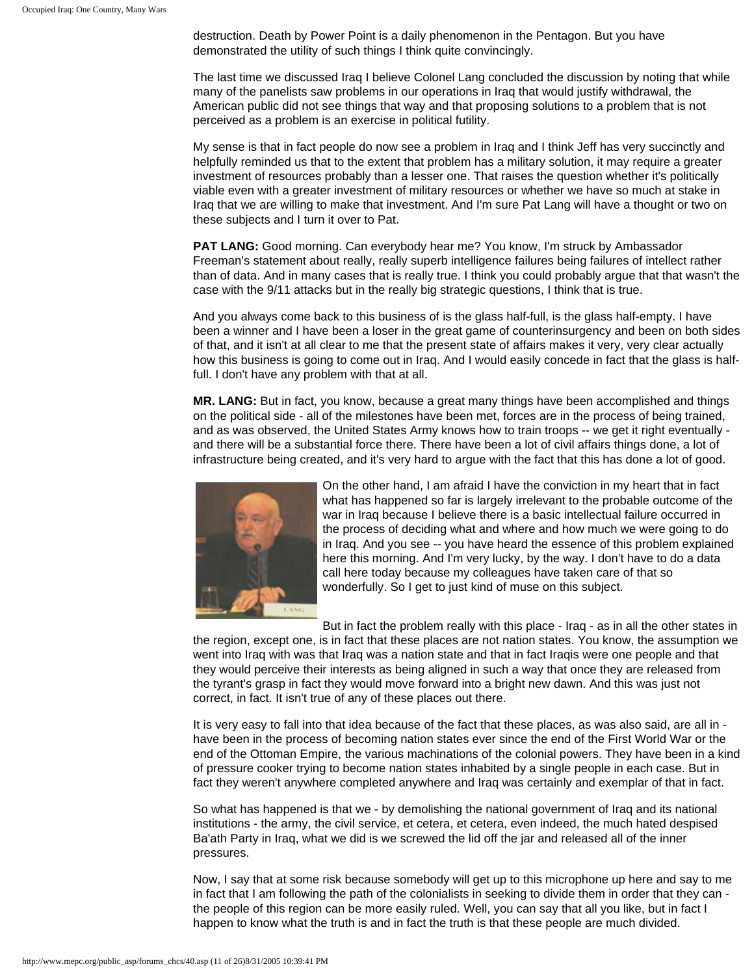destruction. Death by Power Point is a daily phenomenon in the Pentagon. But you have demonstrated the utility of such things I think quite convincingly.

The last time we discussed Iraq I believe Colonel Lang concluded the discussion by noting that while many of the panelists saw problems in our operations in Iraq that would justify withdrawal, the American public did not see things that way and that proposing solutions to a problem that is not perceived as a problem is an exercise in political futility.

My sense is that in fact people do now see a problem in Iraq and I think Jeff has very succinctly and helpfully reminded us that to the extent that problem has a military solution, it may require a greater investment of resources probably than a lesser one. That raises the question whether it's politically viable even with a greater investment of military resources or whether we have so much at stake in Iraq that we are willing to make that investment. And I'm sure Pat Lang will have a thought or two on these subjects and I turn it over to Pat.

**PAT LANG:** Good morning. Can everybody hear me? You know, I'm struck by Ambassador Freeman's statement about really, really superb intelligence failures being failures of intellect rather than of data. And in many cases that is really true. I think you could probably argue that that wasn't the case with the 9/11 attacks but in the really big strategic questions, I think that is true.

And you always come back to this business of is the glass half-full, is the glass half-empty. I have been a winner and I have been a loser in the great game of counterinsurgency and been on both sides of that, and it isn't at all clear to me that the present state of affairs makes it very, very clear actually how this business is going to come out in Iraq. And I would easily concede in fact that the glass is halffull. I don't have any problem with that at all.

**MR. LANG:** But in fact, you know, because a great many things have been accomplished and things on the political side - all of the milestones have been met, forces are in the process of being trained, and as was observed, the United States Army knows how to train troops -- we get it right eventually and there will be a substantial force there. There have been a lot of civil affairs things done, a lot of infrastructure being created, and it's very hard to argue with the fact that this has done a lot of good.



On the other hand, I am afraid I have the conviction in my heart that in fact what has happened so far is largely irrelevant to the probable outcome of the war in Iraq because I believe there is a basic intellectual failure occurred in the process of deciding what and where and how much we were going to do in Iraq. And you see -- you have heard the essence of this problem explained here this morning. And I'm very lucky, by the way. I don't have to do a data call here today because my colleagues have taken care of that so wonderfully. So I get to just kind of muse on this subject.

But in fact the problem really with this place - Iraq - as in all the other states in

the region, except one, is in fact that these places are not nation states. You know, the assumption we went into Iraq with was that Iraq was a nation state and that in fact Iraqis were one people and that they would perceive their interests as being aligned in such a way that once they are released from the tyrant's grasp in fact they would move forward into a bright new dawn. And this was just not correct, in fact. It isn't true of any of these places out there.

It is very easy to fall into that idea because of the fact that these places, as was also said, are all in have been in the process of becoming nation states ever since the end of the First World War or the end of the Ottoman Empire, the various machinations of the colonial powers. They have been in a kind of pressure cooker trying to become nation states inhabited by a single people in each case. But in fact they weren't anywhere completed anywhere and Iraq was certainly and exemplar of that in fact.

So what has happened is that we - by demolishing the national government of Iraq and its national institutions - the army, the civil service, et cetera, et cetera, even indeed, the much hated despised Ba'ath Party in Iraq, what we did is we screwed the lid off the jar and released all of the inner pressures.

Now, I say that at some risk because somebody will get up to this microphone up here and say to me in fact that I am following the path of the colonialists in seeking to divide them in order that they can the people of this region can be more easily ruled. Well, you can say that all you like, but in fact I happen to know what the truth is and in fact the truth is that these people are much divided.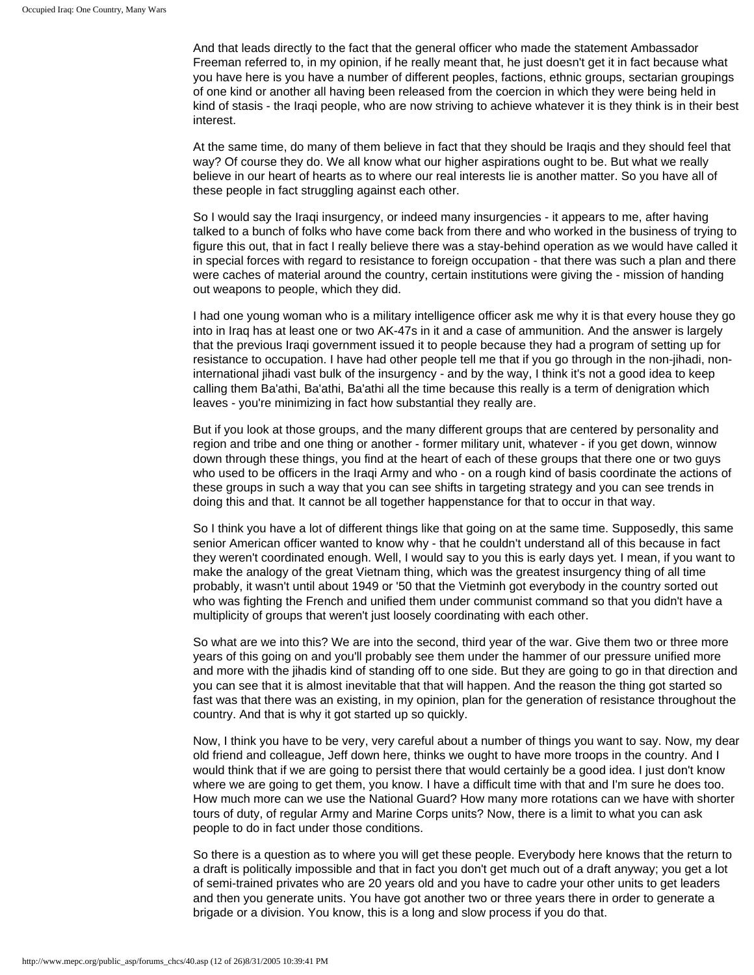And that leads directly to the fact that the general officer who made the statement Ambassador Freeman referred to, in my opinion, if he really meant that, he just doesn't get it in fact because what you have here is you have a number of different peoples, factions, ethnic groups, sectarian groupings of one kind or another all having been released from the coercion in which they were being held in kind of stasis - the Iraqi people, who are now striving to achieve whatever it is they think is in their best interest.

At the same time, do many of them believe in fact that they should be Iraqis and they should feel that way? Of course they do. We all know what our higher aspirations ought to be. But what we really believe in our heart of hearts as to where our real interests lie is another matter. So you have all of these people in fact struggling against each other.

So I would say the Iraqi insurgency, or indeed many insurgencies - it appears to me, after having talked to a bunch of folks who have come back from there and who worked in the business of trying to figure this out, that in fact I really believe there was a stay-behind operation as we would have called it in special forces with regard to resistance to foreign occupation - that there was such a plan and there were caches of material around the country, certain institutions were giving the - mission of handing out weapons to people, which they did.

I had one young woman who is a military intelligence officer ask me why it is that every house they go into in Iraq has at least one or two AK-47s in it and a case of ammunition. And the answer is largely that the previous Iraqi government issued it to people because they had a program of setting up for resistance to occupation. I have had other people tell me that if you go through in the non-jihadi, noninternational jihadi vast bulk of the insurgency - and by the way, I think it's not a good idea to keep calling them Ba'athi, Ba'athi, Ba'athi all the time because this really is a term of denigration which leaves - you're minimizing in fact how substantial they really are.

But if you look at those groups, and the many different groups that are centered by personality and region and tribe and one thing or another - former military unit, whatever - if you get down, winnow down through these things, you find at the heart of each of these groups that there one or two guys who used to be officers in the Iraqi Army and who - on a rough kind of basis coordinate the actions of these groups in such a way that you can see shifts in targeting strategy and you can see trends in doing this and that. It cannot be all together happenstance for that to occur in that way.

So I think you have a lot of different things like that going on at the same time. Supposedly, this same senior American officer wanted to know why - that he couldn't understand all of this because in fact they weren't coordinated enough. Well, I would say to you this is early days yet. I mean, if you want to make the analogy of the great Vietnam thing, which was the greatest insurgency thing of all time probably, it wasn't until about 1949 or '50 that the Vietminh got everybody in the country sorted out who was fighting the French and unified them under communist command so that you didn't have a multiplicity of groups that weren't just loosely coordinating with each other.

So what are we into this? We are into the second, third year of the war. Give them two or three more years of this going on and you'll probably see them under the hammer of our pressure unified more and more with the jihadis kind of standing off to one side. But they are going to go in that direction and you can see that it is almost inevitable that that will happen. And the reason the thing got started so fast was that there was an existing, in my opinion, plan for the generation of resistance throughout the country. And that is why it got started up so quickly.

Now, I think you have to be very, very careful about a number of things you want to say. Now, my dear old friend and colleague, Jeff down here, thinks we ought to have more troops in the country. And I would think that if we are going to persist there that would certainly be a good idea. I just don't know where we are going to get them, you know. I have a difficult time with that and I'm sure he does too. How much more can we use the National Guard? How many more rotations can we have with shorter tours of duty, of regular Army and Marine Corps units? Now, there is a limit to what you can ask people to do in fact under those conditions.

So there is a question as to where you will get these people. Everybody here knows that the return to a draft is politically impossible and that in fact you don't get much out of a draft anyway; you get a lot of semi-trained privates who are 20 years old and you have to cadre your other units to get leaders and then you generate units. You have got another two or three years there in order to generate a brigade or a division. You know, this is a long and slow process if you do that.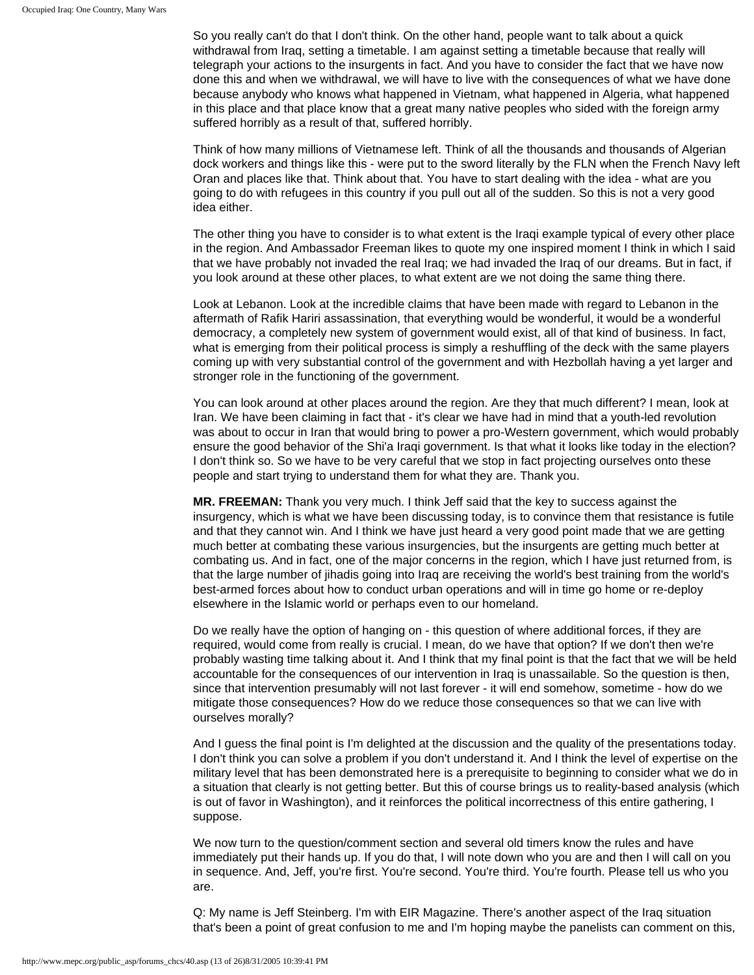So you really can't do that I don't think. On the other hand, people want to talk about a quick withdrawal from Iraq, setting a timetable. I am against setting a timetable because that really will telegraph your actions to the insurgents in fact. And you have to consider the fact that we have now done this and when we withdrawal, we will have to live with the consequences of what we have done because anybody who knows what happened in Vietnam, what happened in Algeria, what happened in this place and that place know that a great many native peoples who sided with the foreign army suffered horribly as a result of that, suffered horribly.

Think of how many millions of Vietnamese left. Think of all the thousands and thousands of Algerian dock workers and things like this - were put to the sword literally by the FLN when the French Navy left Oran and places like that. Think about that. You have to start dealing with the idea - what are you going to do with refugees in this country if you pull out all of the sudden. So this is not a very good idea either.

The other thing you have to consider is to what extent is the Iraqi example typical of every other place in the region. And Ambassador Freeman likes to quote my one inspired moment I think in which I said that we have probably not invaded the real Iraq; we had invaded the Iraq of our dreams. But in fact, if you look around at these other places, to what extent are we not doing the same thing there.

Look at Lebanon. Look at the incredible claims that have been made with regard to Lebanon in the aftermath of Rafik Hariri assassination, that everything would be wonderful, it would be a wonderful democracy, a completely new system of government would exist, all of that kind of business. In fact, what is emerging from their political process is simply a reshuffling of the deck with the same players coming up with very substantial control of the government and with Hezbollah having a yet larger and stronger role in the functioning of the government.

You can look around at other places around the region. Are they that much different? I mean, look at Iran. We have been claiming in fact that - it's clear we have had in mind that a youth-led revolution was about to occur in Iran that would bring to power a pro-Western government, which would probably ensure the good behavior of the Shi'a Iraqi government. Is that what it looks like today in the election? I don't think so. So we have to be very careful that we stop in fact projecting ourselves onto these people and start trying to understand them for what they are. Thank you.

**MR. FREEMAN:** Thank you very much. I think Jeff said that the key to success against the insurgency, which is what we have been discussing today, is to convince them that resistance is futile and that they cannot win. And I think we have just heard a very good point made that we are getting much better at combating these various insurgencies, but the insurgents are getting much better at combating us. And in fact, one of the major concerns in the region, which I have just returned from, is that the large number of jihadis going into Iraq are receiving the world's best training from the world's best-armed forces about how to conduct urban operations and will in time go home or re-deploy elsewhere in the Islamic world or perhaps even to our homeland.

Do we really have the option of hanging on - this question of where additional forces, if they are required, would come from really is crucial. I mean, do we have that option? If we don't then we're probably wasting time talking about it. And I think that my final point is that the fact that we will be held accountable for the consequences of our intervention in Iraq is unassailable. So the question is then, since that intervention presumably will not last forever - it will end somehow, sometime - how do we mitigate those consequences? How do we reduce those consequences so that we can live with ourselves morally?

And I guess the final point is I'm delighted at the discussion and the quality of the presentations today. I don't think you can solve a problem if you don't understand it. And I think the level of expertise on the military level that has been demonstrated here is a prerequisite to beginning to consider what we do in a situation that clearly is not getting better. But this of course brings us to reality-based analysis (which is out of favor in Washington), and it reinforces the political incorrectness of this entire gathering, I suppose.

We now turn to the question/comment section and several old timers know the rules and have immediately put their hands up. If you do that, I will note down who you are and then I will call on you in sequence. And, Jeff, you're first. You're second. You're third. You're fourth. Please tell us who you are.

Q: My name is Jeff Steinberg. I'm with EIR Magazine. There's another aspect of the Iraq situation that's been a point of great confusion to me and I'm hoping maybe the panelists can comment on this,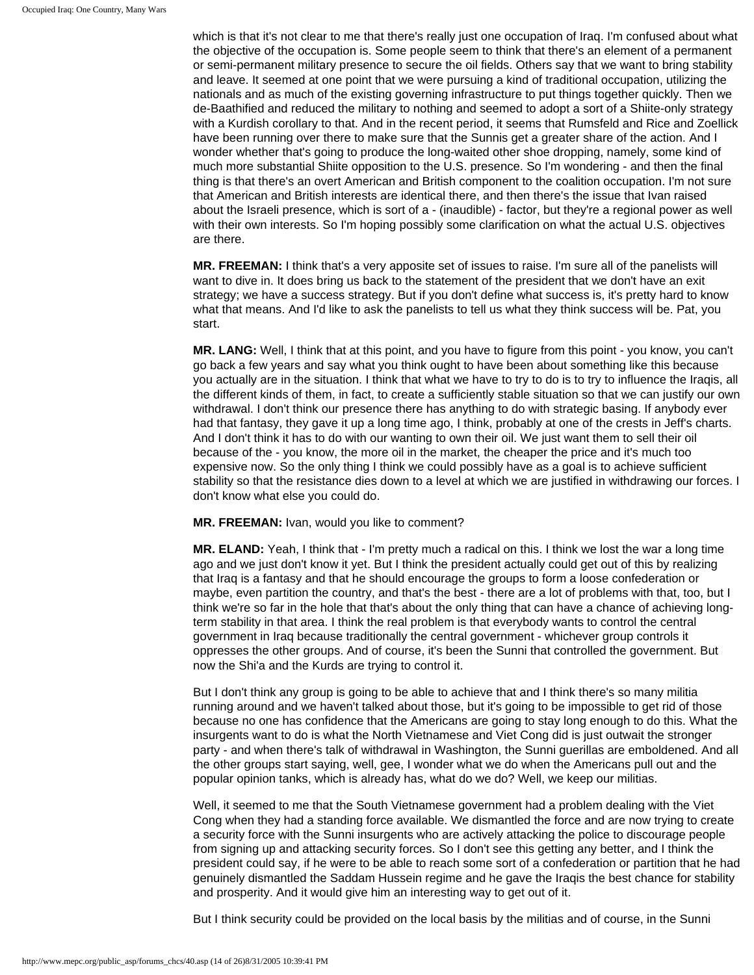which is that it's not clear to me that there's really just one occupation of Iraq. I'm confused about what the objective of the occupation is. Some people seem to think that there's an element of a permanent or semi-permanent military presence to secure the oil fields. Others say that we want to bring stability and leave. It seemed at one point that we were pursuing a kind of traditional occupation, utilizing the nationals and as much of the existing governing infrastructure to put things together quickly. Then we de-Baathified and reduced the military to nothing and seemed to adopt a sort of a Shiite-only strategy with a Kurdish corollary to that. And in the recent period, it seems that Rumsfeld and Rice and Zoellick have been running over there to make sure that the Sunnis get a greater share of the action. And I wonder whether that's going to produce the long-waited other shoe dropping, namely, some kind of much more substantial Shiite opposition to the U.S. presence. So I'm wondering - and then the final thing is that there's an overt American and British component to the coalition occupation. I'm not sure that American and British interests are identical there, and then there's the issue that Ivan raised about the Israeli presence, which is sort of a - (inaudible) - factor, but they're a regional power as well with their own interests. So I'm hoping possibly some clarification on what the actual U.S. objectives are there.

**MR. FREEMAN:** I think that's a very apposite set of issues to raise. I'm sure all of the panelists will want to dive in. It does bring us back to the statement of the president that we don't have an exit strategy; we have a success strategy. But if you don't define what success is, it's pretty hard to know what that means. And I'd like to ask the panelists to tell us what they think success will be. Pat, you start.

**MR. LANG:** Well, I think that at this point, and you have to figure from this point - you know, you can't go back a few years and say what you think ought to have been about something like this because you actually are in the situation. I think that what we have to try to do is to try to influence the Iraqis, all the different kinds of them, in fact, to create a sufficiently stable situation so that we can justify our own withdrawal. I don't think our presence there has anything to do with strategic basing. If anybody ever had that fantasy, they gave it up a long time ago, I think, probably at one of the crests in Jeff's charts. And I don't think it has to do with our wanting to own their oil. We just want them to sell their oil because of the - you know, the more oil in the market, the cheaper the price and it's much too expensive now. So the only thing I think we could possibly have as a goal is to achieve sufficient stability so that the resistance dies down to a level at which we are justified in withdrawing our forces. I don't know what else you could do.

**MR. FREEMAN:** Ivan, would you like to comment?

**MR. ELAND:** Yeah, I think that - I'm pretty much a radical on this. I think we lost the war a long time ago and we just don't know it yet. But I think the president actually could get out of this by realizing that Iraq is a fantasy and that he should encourage the groups to form a loose confederation or maybe, even partition the country, and that's the best - there are a lot of problems with that, too, but I think we're so far in the hole that that's about the only thing that can have a chance of achieving longterm stability in that area. I think the real problem is that everybody wants to control the central government in Iraq because traditionally the central government - whichever group controls it oppresses the other groups. And of course, it's been the Sunni that controlled the government. But now the Shi'a and the Kurds are trying to control it.

But I don't think any group is going to be able to achieve that and I think there's so many militia running around and we haven't talked about those, but it's going to be impossible to get rid of those because no one has confidence that the Americans are going to stay long enough to do this. What the insurgents want to do is what the North Vietnamese and Viet Cong did is just outwait the stronger party - and when there's talk of withdrawal in Washington, the Sunni guerillas are emboldened. And all the other groups start saying, well, gee, I wonder what we do when the Americans pull out and the popular opinion tanks, which is already has, what do we do? Well, we keep our militias.

Well, it seemed to me that the South Vietnamese government had a problem dealing with the Viet Cong when they had a standing force available. We dismantled the force and are now trying to create a security force with the Sunni insurgents who are actively attacking the police to discourage people from signing up and attacking security forces. So I don't see this getting any better, and I think the president could say, if he were to be able to reach some sort of a confederation or partition that he had genuinely dismantled the Saddam Hussein regime and he gave the Iraqis the best chance for stability and prosperity. And it would give him an interesting way to get out of it.

But I think security could be provided on the local basis by the militias and of course, in the Sunni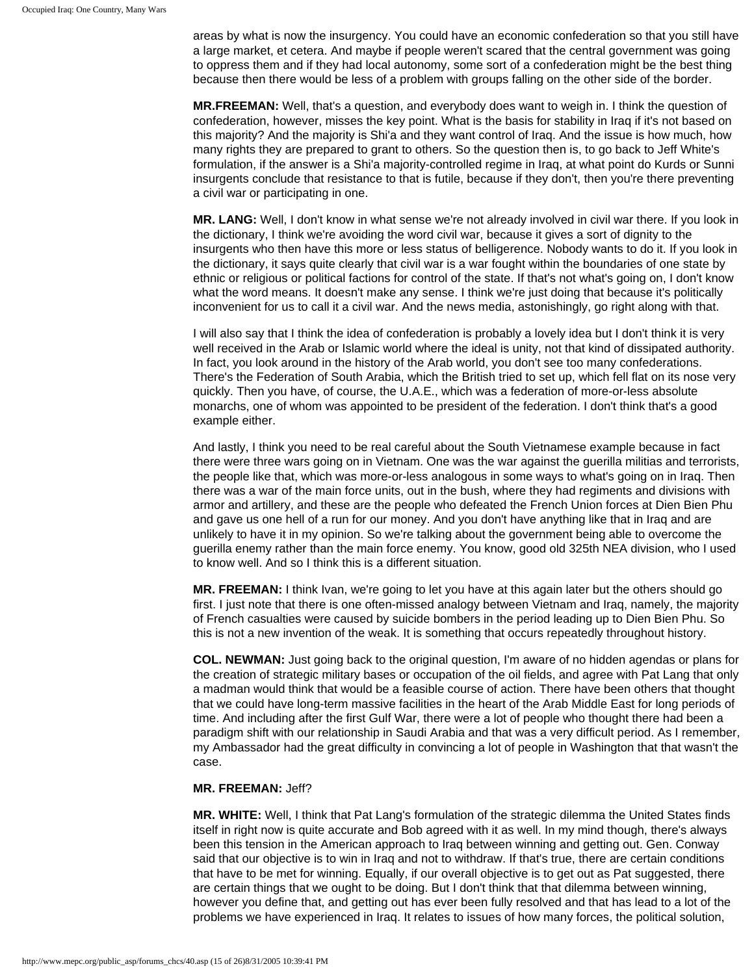areas by what is now the insurgency. You could have an economic confederation so that you still have a large market, et cetera. And maybe if people weren't scared that the central government was going to oppress them and if they had local autonomy, some sort of a confederation might be the best thing because then there would be less of a problem with groups falling on the other side of the border.

**MR.FREEMAN:** Well, that's a question, and everybody does want to weigh in. I think the question of confederation, however, misses the key point. What is the basis for stability in Iraq if it's not based on this majority? And the majority is Shi'a and they want control of Iraq. And the issue is how much, how many rights they are prepared to grant to others. So the question then is, to go back to Jeff White's formulation, if the answer is a Shi'a majority-controlled regime in Iraq, at what point do Kurds or Sunni insurgents conclude that resistance to that is futile, because if they don't, then you're there preventing a civil war or participating in one.

**MR. LANG:** Well, I don't know in what sense we're not already involved in civil war there. If you look in the dictionary, I think we're avoiding the word civil war, because it gives a sort of dignity to the insurgents who then have this more or less status of belligerence. Nobody wants to do it. If you look in the dictionary, it says quite clearly that civil war is a war fought within the boundaries of one state by ethnic or religious or political factions for control of the state. If that's not what's going on, I don't know what the word means. It doesn't make any sense. I think we're just doing that because it's politically inconvenient for us to call it a civil war. And the news media, astonishingly, go right along with that.

I will also say that I think the idea of confederation is probably a lovely idea but I don't think it is very well received in the Arab or Islamic world where the ideal is unity, not that kind of dissipated authority. In fact, you look around in the history of the Arab world, you don't see too many confederations. There's the Federation of South Arabia, which the British tried to set up, which fell flat on its nose very quickly. Then you have, of course, the U.A.E., which was a federation of more-or-less absolute monarchs, one of whom was appointed to be president of the federation. I don't think that's a good example either.

And lastly, I think you need to be real careful about the South Vietnamese example because in fact there were three wars going on in Vietnam. One was the war against the guerilla militias and terrorists, the people like that, which was more-or-less analogous in some ways to what's going on in Iraq. Then there was a war of the main force units, out in the bush, where they had regiments and divisions with armor and artillery, and these are the people who defeated the French Union forces at Dien Bien Phu and gave us one hell of a run for our money. And you don't have anything like that in Iraq and are unlikely to have it in my opinion. So we're talking about the government being able to overcome the guerilla enemy rather than the main force enemy. You know, good old 325th NEA division, who I used to know well. And so I think this is a different situation.

**MR. FREEMAN:** I think Ivan, we're going to let you have at this again later but the others should go first. I just note that there is one often-missed analogy between Vietnam and Iraq, namely, the majority of French casualties were caused by suicide bombers in the period leading up to Dien Bien Phu. So this is not a new invention of the weak. It is something that occurs repeatedly throughout history.

**COL. NEWMAN:** Just going back to the original question, I'm aware of no hidden agendas or plans for the creation of strategic military bases or occupation of the oil fields, and agree with Pat Lang that only a madman would think that would be a feasible course of action. There have been others that thought that we could have long-term massive facilities in the heart of the Arab Middle East for long periods of time. And including after the first Gulf War, there were a lot of people who thought there had been a paradigm shift with our relationship in Saudi Arabia and that was a very difficult period. As I remember, my Ambassador had the great difficulty in convincing a lot of people in Washington that that wasn't the case.

### **MR. FREEMAN:** Jeff?

**MR. WHITE:** Well, I think that Pat Lang's formulation of the strategic dilemma the United States finds itself in right now is quite accurate and Bob agreed with it as well. In my mind though, there's always been this tension in the American approach to Iraq between winning and getting out. Gen. Conway said that our objective is to win in Iraq and not to withdraw. If that's true, there are certain conditions that have to be met for winning. Equally, if our overall objective is to get out as Pat suggested, there are certain things that we ought to be doing. But I don't think that that dilemma between winning, however you define that, and getting out has ever been fully resolved and that has lead to a lot of the problems we have experienced in Iraq. It relates to issues of how many forces, the political solution,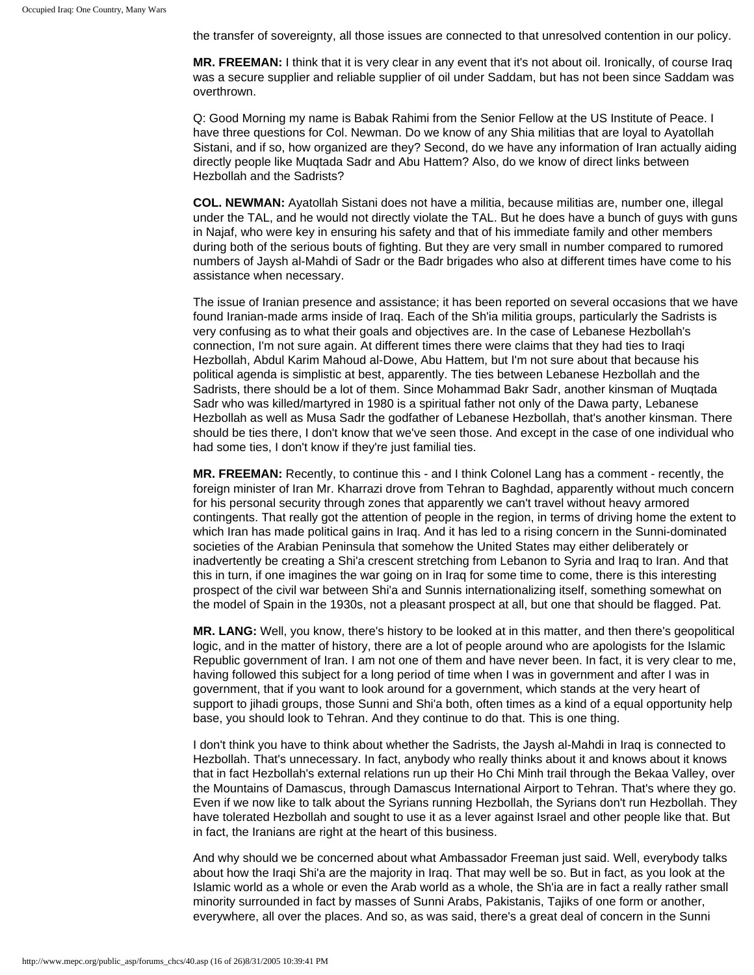the transfer of sovereignty, all those issues are connected to that unresolved contention in our policy.

**MR. FREEMAN:** I think that it is very clear in any event that it's not about oil. Ironically, of course Iraq was a secure supplier and reliable supplier of oil under Saddam, but has not been since Saddam was overthrown.

Q: Good Morning my name is Babak Rahimi from the Senior Fellow at the US Institute of Peace. I have three questions for Col. Newman. Do we know of any Shia militias that are loyal to Ayatollah Sistani, and if so, how organized are they? Second, do we have any information of Iran actually aiding directly people like Muqtada Sadr and Abu Hattem? Also, do we know of direct links between Hezbollah and the Sadrists?

**COL. NEWMAN:** Ayatollah Sistani does not have a militia, because militias are, number one, illegal under the TAL, and he would not directly violate the TAL. But he does have a bunch of guys with guns in Najaf, who were key in ensuring his safety and that of his immediate family and other members during both of the serious bouts of fighting. But they are very small in number compared to rumored numbers of Jaysh al-Mahdi of Sadr or the Badr brigades who also at different times have come to his assistance when necessary.

The issue of Iranian presence and assistance; it has been reported on several occasions that we have found Iranian-made arms inside of Iraq. Each of the Sh'ia militia groups, particularly the Sadrists is very confusing as to what their goals and objectives are. In the case of Lebanese Hezbollah's connection, I'm not sure again. At different times there were claims that they had ties to Iraqi Hezbollah, Abdul Karim Mahoud al-Dowe, Abu Hattem, but I'm not sure about that because his political agenda is simplistic at best, apparently. The ties between Lebanese Hezbollah and the Sadrists, there should be a lot of them. Since Mohammad Bakr Sadr, another kinsman of Muqtada Sadr who was killed/martyred in 1980 is a spiritual father not only of the Dawa party, Lebanese Hezbollah as well as Musa Sadr the godfather of Lebanese Hezbollah, that's another kinsman. There should be ties there, I don't know that we've seen those. And except in the case of one individual who had some ties, I don't know if they're just familial ties.

**MR. FREEMAN:** Recently, to continue this - and I think Colonel Lang has a comment - recently, the foreign minister of Iran Mr. Kharrazi drove from Tehran to Baghdad, apparently without much concern for his personal security through zones that apparently we can't travel without heavy armored contingents. That really got the attention of people in the region, in terms of driving home the extent to which Iran has made political gains in Iraq. And it has led to a rising concern in the Sunni-dominated societies of the Arabian Peninsula that somehow the United States may either deliberately or inadvertently be creating a Shi'a crescent stretching from Lebanon to Syria and Iraq to Iran. And that this in turn, if one imagines the war going on in Iraq for some time to come, there is this interesting prospect of the civil war between Shi'a and Sunnis internationalizing itself, something somewhat on the model of Spain in the 1930s, not a pleasant prospect at all, but one that should be flagged. Pat.

**MR. LANG:** Well, you know, there's history to be looked at in this matter, and then there's geopolitical logic, and in the matter of history, there are a lot of people around who are apologists for the Islamic Republic government of Iran. I am not one of them and have never been. In fact, it is very clear to me, having followed this subject for a long period of time when I was in government and after I was in government, that if you want to look around for a government, which stands at the very heart of support to jihadi groups, those Sunni and Shi'a both, often times as a kind of a equal opportunity help base, you should look to Tehran. And they continue to do that. This is one thing.

I don't think you have to think about whether the Sadrists, the Jaysh al-Mahdi in Iraq is connected to Hezbollah. That's unnecessary. In fact, anybody who really thinks about it and knows about it knows that in fact Hezbollah's external relations run up their Ho Chi Minh trail through the Bekaa Valley, over the Mountains of Damascus, through Damascus International Airport to Tehran. That's where they go. Even if we now like to talk about the Syrians running Hezbollah, the Syrians don't run Hezbollah. They have tolerated Hezbollah and sought to use it as a lever against Israel and other people like that. But in fact, the Iranians are right at the heart of this business.

And why should we be concerned about what Ambassador Freeman just said. Well, everybody talks about how the Iraqi Shi'a are the majority in Iraq. That may well be so. But in fact, as you look at the Islamic world as a whole or even the Arab world as a whole, the Sh'ia are in fact a really rather small minority surrounded in fact by masses of Sunni Arabs, Pakistanis, Tajiks of one form or another, everywhere, all over the places. And so, as was said, there's a great deal of concern in the Sunni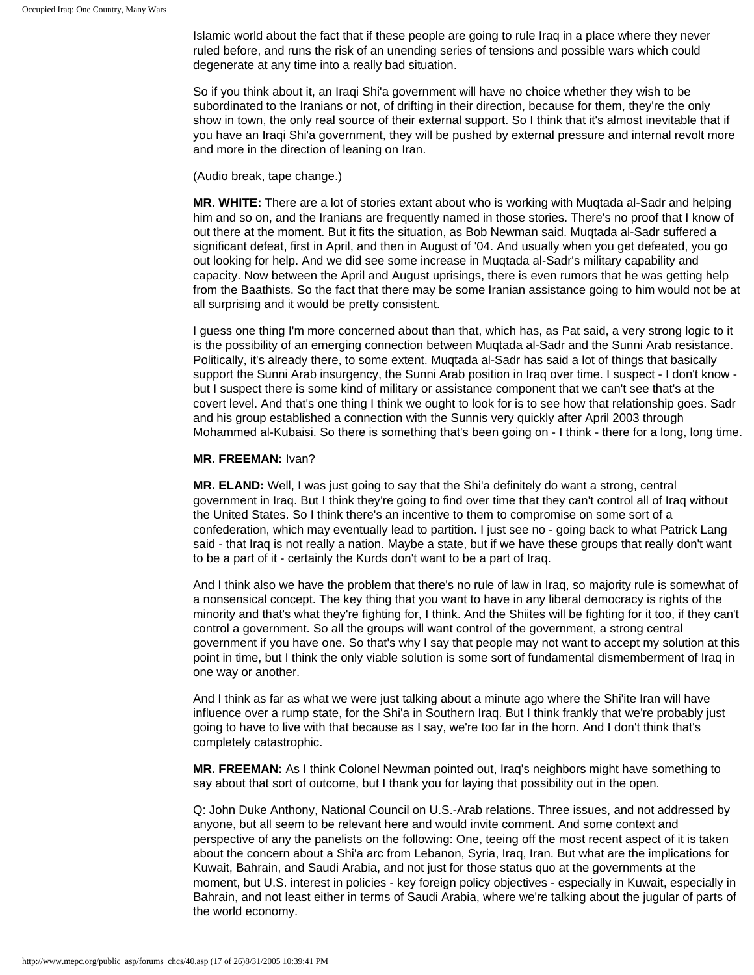Islamic world about the fact that if these people are going to rule Iraq in a place where they never ruled before, and runs the risk of an unending series of tensions and possible wars which could degenerate at any time into a really bad situation.

So if you think about it, an Iraqi Shi'a government will have no choice whether they wish to be subordinated to the Iranians or not, of drifting in their direction, because for them, they're the only show in town, the only real source of their external support. So I think that it's almost inevitable that if you have an Iraqi Shi'a government, they will be pushed by external pressure and internal revolt more and more in the direction of leaning on Iran.

#### (Audio break, tape change.)

**MR. WHITE:** There are a lot of stories extant about who is working with Muqtada al-Sadr and helping him and so on, and the Iranians are frequently named in those stories. There's no proof that I know of out there at the moment. But it fits the situation, as Bob Newman said. Muqtada al-Sadr suffered a significant defeat, first in April, and then in August of '04. And usually when you get defeated, you go out looking for help. And we did see some increase in Muqtada al-Sadr's military capability and capacity. Now between the April and August uprisings, there is even rumors that he was getting help from the Baathists. So the fact that there may be some Iranian assistance going to him would not be at all surprising and it would be pretty consistent.

I guess one thing I'm more concerned about than that, which has, as Pat said, a very strong logic to it is the possibility of an emerging connection between Muqtada al-Sadr and the Sunni Arab resistance. Politically, it's already there, to some extent. Muqtada al-Sadr has said a lot of things that basically support the Sunni Arab insurgency, the Sunni Arab position in Iraq over time. I suspect - I don't know but I suspect there is some kind of military or assistance component that we can't see that's at the covert level. And that's one thing I think we ought to look for is to see how that relationship goes. Sadr and his group established a connection with the Sunnis very quickly after April 2003 through Mohammed al-Kubaisi. So there is something that's been going on - I think - there for a long, long time.

#### **MR. FREEMAN:** Ivan?

**MR. ELAND:** Well, I was just going to say that the Shi'a definitely do want a strong, central government in Iraq. But I think they're going to find over time that they can't control all of Iraq without the United States. So I think there's an incentive to them to compromise on some sort of a confederation, which may eventually lead to partition. I just see no - going back to what Patrick Lang said - that Iraq is not really a nation. Maybe a state, but if we have these groups that really don't want to be a part of it - certainly the Kurds don't want to be a part of Iraq.

And I think also we have the problem that there's no rule of law in Iraq, so majority rule is somewhat of a nonsensical concept. The key thing that you want to have in any liberal democracy is rights of the minority and that's what they're fighting for, I think. And the Shiites will be fighting for it too, if they can't control a government. So all the groups will want control of the government, a strong central government if you have one. So that's why I say that people may not want to accept my solution at this point in time, but I think the only viable solution is some sort of fundamental dismemberment of Iraq in one way or another.

And I think as far as what we were just talking about a minute ago where the Shi'ite Iran will have influence over a rump state, for the Shi'a in Southern Iraq. But I think frankly that we're probably just going to have to live with that because as I say, we're too far in the horn. And I don't think that's completely catastrophic.

**MR. FREEMAN:** As I think Colonel Newman pointed out, Iraq's neighbors might have something to say about that sort of outcome, but I thank you for laying that possibility out in the open.

Q: John Duke Anthony, National Council on U.S.-Arab relations. Three issues, and not addressed by anyone, but all seem to be relevant here and would invite comment. And some context and perspective of any the panelists on the following: One, teeing off the most recent aspect of it is taken about the concern about a Shi'a arc from Lebanon, Syria, Iraq, Iran. But what are the implications for Kuwait, Bahrain, and Saudi Arabia, and not just for those status quo at the governments at the moment, but U.S. interest in policies - key foreign policy objectives - especially in Kuwait, especially in Bahrain, and not least either in terms of Saudi Arabia, where we're talking about the jugular of parts of the world economy.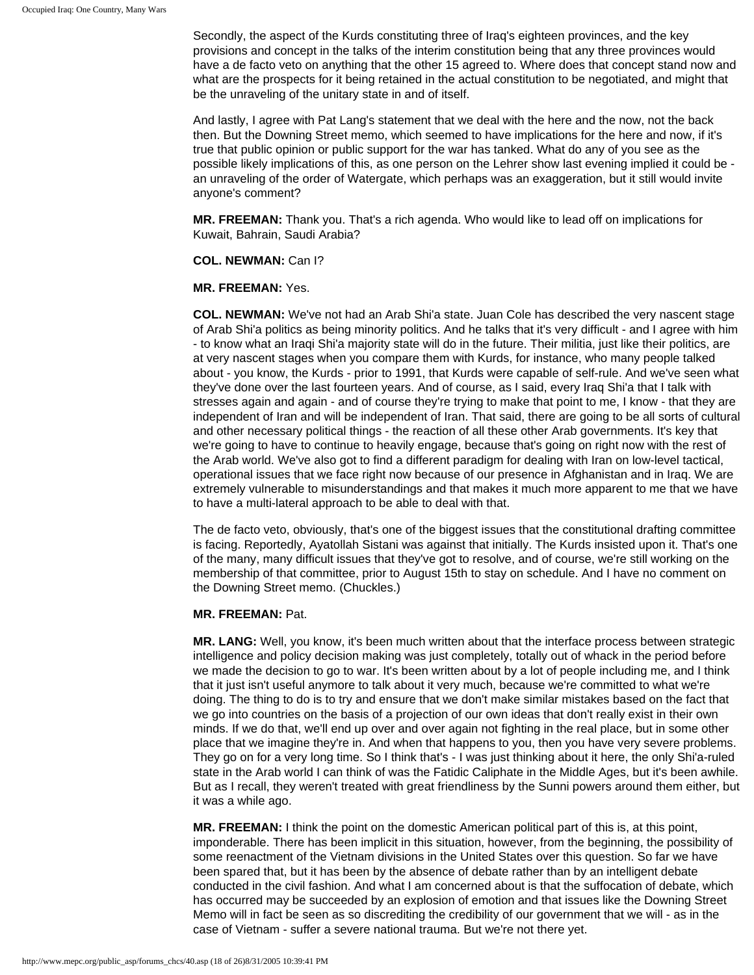Secondly, the aspect of the Kurds constituting three of Iraq's eighteen provinces, and the key provisions and concept in the talks of the interim constitution being that any three provinces would have a de facto veto on anything that the other 15 agreed to. Where does that concept stand now and what are the prospects for it being retained in the actual constitution to be negotiated, and might that be the unraveling of the unitary state in and of itself.

And lastly, I agree with Pat Lang's statement that we deal with the here and the now, not the back then. But the Downing Street memo, which seemed to have implications for the here and now, if it's true that public opinion or public support for the war has tanked. What do any of you see as the possible likely implications of this, as one person on the Lehrer show last evening implied it could be an unraveling of the order of Watergate, which perhaps was an exaggeration, but it still would invite anyone's comment?

**MR. FREEMAN:** Thank you. That's a rich agenda. Who would like to lead off on implications for Kuwait, Bahrain, Saudi Arabia?

### **COL. NEWMAN:** Can I?

### **MR. FREEMAN:** Yes.

**COL. NEWMAN:** We've not had an Arab Shi'a state. Juan Cole has described the very nascent stage of Arab Shi'a politics as being minority politics. And he talks that it's very difficult - and I agree with him - to know what an Iraqi Shi'a majority state will do in the future. Their militia, just like their politics, are at very nascent stages when you compare them with Kurds, for instance, who many people talked about - you know, the Kurds - prior to 1991, that Kurds were capable of self-rule. And we've seen what they've done over the last fourteen years. And of course, as I said, every Iraq Shi'a that I talk with stresses again and again - and of course they're trying to make that point to me, I know - that they are independent of Iran and will be independent of Iran. That said, there are going to be all sorts of cultural and other necessary political things - the reaction of all these other Arab governments. It's key that we're going to have to continue to heavily engage, because that's going on right now with the rest of the Arab world. We've also got to find a different paradigm for dealing with Iran on low-level tactical, operational issues that we face right now because of our presence in Afghanistan and in Iraq. We are extremely vulnerable to misunderstandings and that makes it much more apparent to me that we have to have a multi-lateral approach to be able to deal with that.

The de facto veto, obviously, that's one of the biggest issues that the constitutional drafting committee is facing. Reportedly, Ayatollah Sistani was against that initially. The Kurds insisted upon it. That's one of the many, many difficult issues that they've got to resolve, and of course, we're still working on the membership of that committee, prior to August 15th to stay on schedule. And I have no comment on the Downing Street memo. (Chuckles.)

### **MR. FREEMAN:** Pat.

**MR. LANG:** Well, you know, it's been much written about that the interface process between strategic intelligence and policy decision making was just completely, totally out of whack in the period before we made the decision to go to war. It's been written about by a lot of people including me, and I think that it just isn't useful anymore to talk about it very much, because we're committed to what we're doing. The thing to do is to try and ensure that we don't make similar mistakes based on the fact that we go into countries on the basis of a projection of our own ideas that don't really exist in their own minds. If we do that, we'll end up over and over again not fighting in the real place, but in some other place that we imagine they're in. And when that happens to you, then you have very severe problems. They go on for a very long time. So I think that's - I was just thinking about it here, the only Shi'a-ruled state in the Arab world I can think of was the Fatidic Caliphate in the Middle Ages, but it's been awhile. But as I recall, they weren't treated with great friendliness by the Sunni powers around them either, but it was a while ago.

**MR. FREEMAN:** I think the point on the domestic American political part of this is, at this point, imponderable. There has been implicit in this situation, however, from the beginning, the possibility of some reenactment of the Vietnam divisions in the United States over this question. So far we have been spared that, but it has been by the absence of debate rather than by an intelligent debate conducted in the civil fashion. And what I am concerned about is that the suffocation of debate, which has occurred may be succeeded by an explosion of emotion and that issues like the Downing Street Memo will in fact be seen as so discrediting the credibility of our government that we will - as in the case of Vietnam - suffer a severe national trauma. But we're not there yet.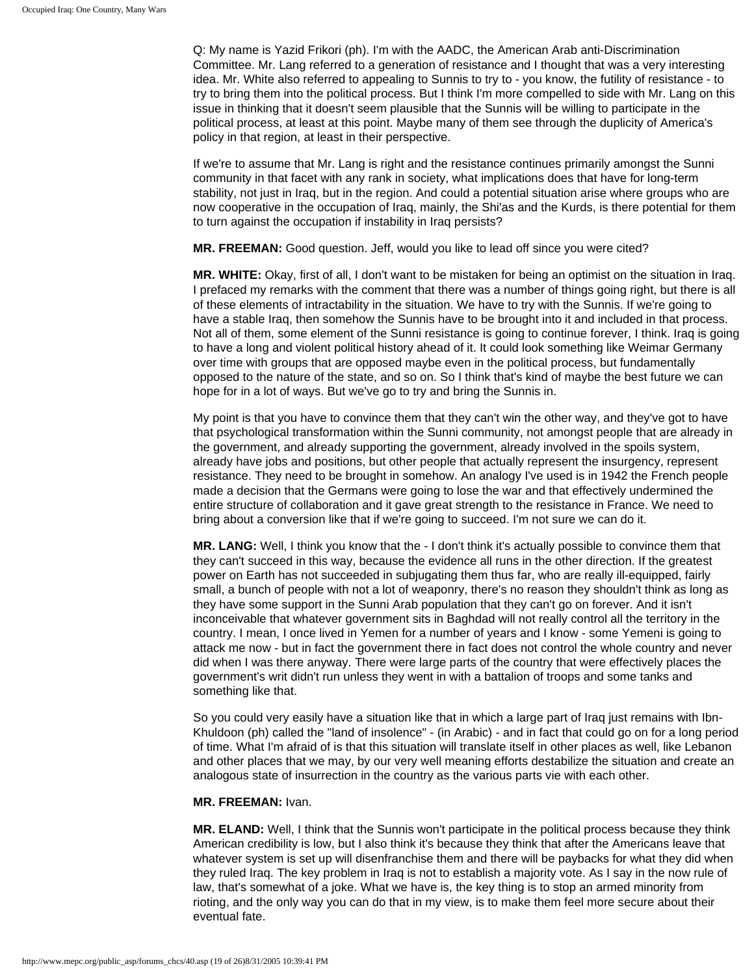Q: My name is Yazid Frikori (ph). I'm with the AADC, the American Arab anti-Discrimination Committee. Mr. Lang referred to a generation of resistance and I thought that was a very interesting idea. Mr. White also referred to appealing to Sunnis to try to - you know, the futility of resistance - to try to bring them into the political process. But I think I'm more compelled to side with Mr. Lang on this issue in thinking that it doesn't seem plausible that the Sunnis will be willing to participate in the political process, at least at this point. Maybe many of them see through the duplicity of America's policy in that region, at least in their perspective.

If we're to assume that Mr. Lang is right and the resistance continues primarily amongst the Sunni community in that facet with any rank in society, what implications does that have for long-term stability, not just in Iraq, but in the region. And could a potential situation arise where groups who are now cooperative in the occupation of Iraq, mainly, the Shi'as and the Kurds, is there potential for them to turn against the occupation if instability in Iraq persists?

**MR. FREEMAN:** Good question. Jeff, would you like to lead off since you were cited?

**MR. WHITE:** Okay, first of all, I don't want to be mistaken for being an optimist on the situation in Iraq. I prefaced my remarks with the comment that there was a number of things going right, but there is all of these elements of intractability in the situation. We have to try with the Sunnis. If we're going to have a stable Iraq, then somehow the Sunnis have to be brought into it and included in that process. Not all of them, some element of the Sunni resistance is going to continue forever, I think. Iraq is going to have a long and violent political history ahead of it. It could look something like Weimar Germany over time with groups that are opposed maybe even in the political process, but fundamentally opposed to the nature of the state, and so on. So I think that's kind of maybe the best future we can hope for in a lot of ways. But we've go to try and bring the Sunnis in.

My point is that you have to convince them that they can't win the other way, and they've got to have that psychological transformation within the Sunni community, not amongst people that are already in the government, and already supporting the government, already involved in the spoils system, already have jobs and positions, but other people that actually represent the insurgency, represent resistance. They need to be brought in somehow. An analogy I've used is in 1942 the French people made a decision that the Germans were going to lose the war and that effectively undermined the entire structure of collaboration and it gave great strength to the resistance in France. We need to bring about a conversion like that if we're going to succeed. I'm not sure we can do it.

**MR. LANG:** Well, I think you know that the - I don't think it's actually possible to convince them that they can't succeed in this way, because the evidence all runs in the other direction. If the greatest power on Earth has not succeeded in subjugating them thus far, who are really ill-equipped, fairly small, a bunch of people with not a lot of weaponry, there's no reason they shouldn't think as long as they have some support in the Sunni Arab population that they can't go on forever. And it isn't inconceivable that whatever government sits in Baghdad will not really control all the territory in the country. I mean, I once lived in Yemen for a number of years and I know - some Yemeni is going to attack me now - but in fact the government there in fact does not control the whole country and never did when I was there anyway. There were large parts of the country that were effectively places the government's writ didn't run unless they went in with a battalion of troops and some tanks and something like that.

So you could very easily have a situation like that in which a large part of Iraq just remains with Ibn-Khuldoon (ph) called the "land of insolence" - (in Arabic) - and in fact that could go on for a long period of time. What I'm afraid of is that this situation will translate itself in other places as well, like Lebanon and other places that we may, by our very well meaning efforts destabilize the situation and create an analogous state of insurrection in the country as the various parts vie with each other.

#### **MR. FREEMAN:** Ivan.

**MR. ELAND:** Well, I think that the Sunnis won't participate in the political process because they think American credibility is low, but I also think it's because they think that after the Americans leave that whatever system is set up will disenfranchise them and there will be paybacks for what they did when they ruled Iraq. The key problem in Iraq is not to establish a majority vote. As I say in the now rule of law, that's somewhat of a joke. What we have is, the key thing is to stop an armed minority from rioting, and the only way you can do that in my view, is to make them feel more secure about their eventual fate.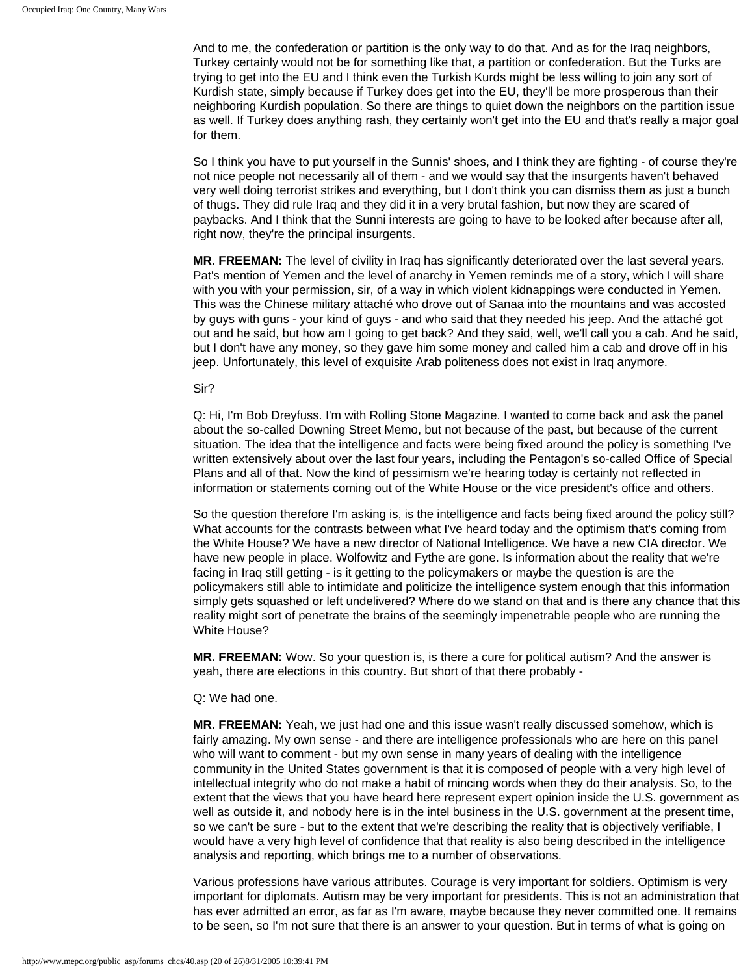And to me, the confederation or partition is the only way to do that. And as for the Iraq neighbors, Turkey certainly would not be for something like that, a partition or confederation. But the Turks are trying to get into the EU and I think even the Turkish Kurds might be less willing to join any sort of Kurdish state, simply because if Turkey does get into the EU, they'll be more prosperous than their neighboring Kurdish population. So there are things to quiet down the neighbors on the partition issue as well. If Turkey does anything rash, they certainly won't get into the EU and that's really a major goal for them.

So I think you have to put yourself in the Sunnis' shoes, and I think they are fighting - of course they're not nice people not necessarily all of them - and we would say that the insurgents haven't behaved very well doing terrorist strikes and everything, but I don't think you can dismiss them as just a bunch of thugs. They did rule Iraq and they did it in a very brutal fashion, but now they are scared of paybacks. And I think that the Sunni interests are going to have to be looked after because after all, right now, they're the principal insurgents.

**MR. FREEMAN:** The level of civility in Iraq has significantly deteriorated over the last several years. Pat's mention of Yemen and the level of anarchy in Yemen reminds me of a story, which I will share with you with your permission, sir, of a way in which violent kidnappings were conducted in Yemen. This was the Chinese military attaché who drove out of Sanaa into the mountains and was accosted by guys with guns - your kind of guys - and who said that they needed his jeep. And the attaché got out and he said, but how am I going to get back? And they said, well, we'll call you a cab. And he said, but I don't have any money, so they gave him some money and called him a cab and drove off in his jeep. Unfortunately, this level of exquisite Arab politeness does not exist in Iraq anymore.

#### Sir?

Q: Hi, I'm Bob Dreyfuss. I'm with Rolling Stone Magazine. I wanted to come back and ask the panel about the so-called Downing Street Memo, but not because of the past, but because of the current situation. The idea that the intelligence and facts were being fixed around the policy is something I've written extensively about over the last four years, including the Pentagon's so-called Office of Special Plans and all of that. Now the kind of pessimism we're hearing today is certainly not reflected in information or statements coming out of the White House or the vice president's office and others.

So the question therefore I'm asking is, is the intelligence and facts being fixed around the policy still? What accounts for the contrasts between what I've heard today and the optimism that's coming from the White House? We have a new director of National Intelligence. We have a new CIA director. We have new people in place. Wolfowitz and Fythe are gone. Is information about the reality that we're facing in Iraq still getting - is it getting to the policymakers or maybe the question is are the policymakers still able to intimidate and politicize the intelligence system enough that this information simply gets squashed or left undelivered? Where do we stand on that and is there any chance that this reality might sort of penetrate the brains of the seemingly impenetrable people who are running the White House?

**MR. FREEMAN:** Wow. So your question is, is there a cure for political autism? And the answer is yeah, there are elections in this country. But short of that there probably -

Q: We had one.

**MR. FREEMAN:** Yeah, we just had one and this issue wasn't really discussed somehow, which is fairly amazing. My own sense - and there are intelligence professionals who are here on this panel who will want to comment - but my own sense in many years of dealing with the intelligence community in the United States government is that it is composed of people with a very high level of intellectual integrity who do not make a habit of mincing words when they do their analysis. So, to the extent that the views that you have heard here represent expert opinion inside the U.S. government as well as outside it, and nobody here is in the intel business in the U.S. government at the present time, so we can't be sure - but to the extent that we're describing the reality that is objectively verifiable, I would have a very high level of confidence that that reality is also being described in the intelligence analysis and reporting, which brings me to a number of observations.

Various professions have various attributes. Courage is very important for soldiers. Optimism is very important for diplomats. Autism may be very important for presidents. This is not an administration that has ever admitted an error, as far as I'm aware, maybe because they never committed one. It remains to be seen, so I'm not sure that there is an answer to your question. But in terms of what is going on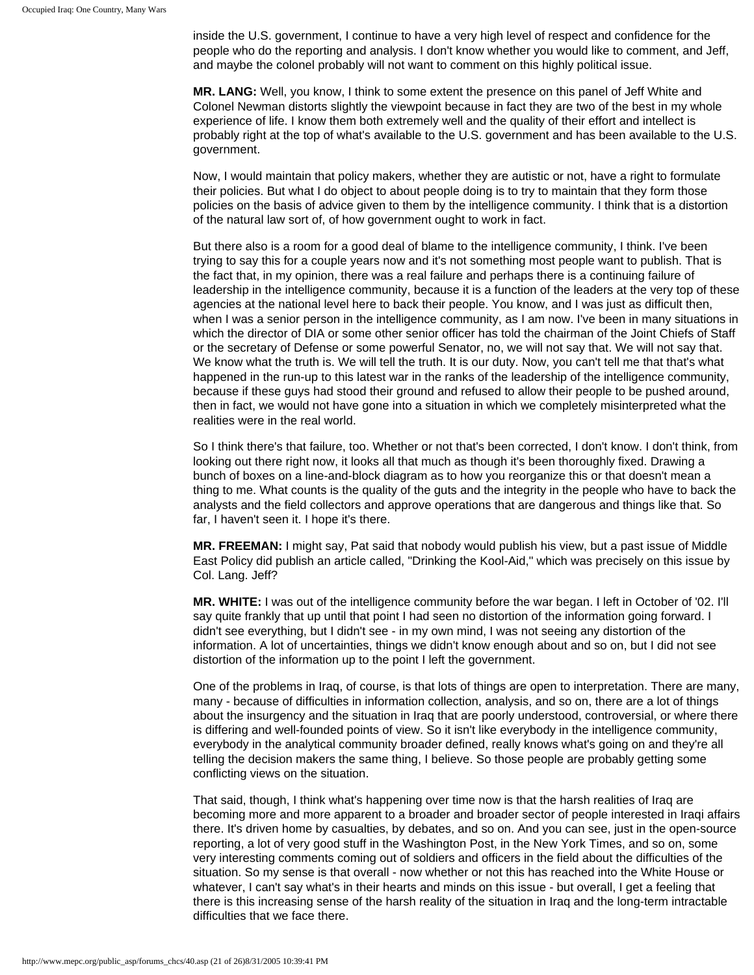inside the U.S. government, I continue to have a very high level of respect and confidence for the people who do the reporting and analysis. I don't know whether you would like to comment, and Jeff, and maybe the colonel probably will not want to comment on this highly political issue.

**MR. LANG:** Well, you know, I think to some extent the presence on this panel of Jeff White and Colonel Newman distorts slightly the viewpoint because in fact they are two of the best in my whole experience of life. I know them both extremely well and the quality of their effort and intellect is probably right at the top of what's available to the U.S. government and has been available to the U.S. government.

Now, I would maintain that policy makers, whether they are autistic or not, have a right to formulate their policies. But what I do object to about people doing is to try to maintain that they form those policies on the basis of advice given to them by the intelligence community. I think that is a distortion of the natural law sort of, of how government ought to work in fact.

But there also is a room for a good deal of blame to the intelligence community, I think. I've been trying to say this for a couple years now and it's not something most people want to publish. That is the fact that, in my opinion, there was a real failure and perhaps there is a continuing failure of leadership in the intelligence community, because it is a function of the leaders at the very top of these agencies at the national level here to back their people. You know, and I was just as difficult then, when I was a senior person in the intelligence community, as I am now. I've been in many situations in which the director of DIA or some other senior officer has told the chairman of the Joint Chiefs of Staff or the secretary of Defense or some powerful Senator, no, we will not say that. We will not say that. We know what the truth is. We will tell the truth. It is our duty. Now, you can't tell me that that's what happened in the run-up to this latest war in the ranks of the leadership of the intelligence community, because if these guys had stood their ground and refused to allow their people to be pushed around, then in fact, we would not have gone into a situation in which we completely misinterpreted what the realities were in the real world.

So I think there's that failure, too. Whether or not that's been corrected, I don't know. I don't think, from looking out there right now, it looks all that much as though it's been thoroughly fixed. Drawing a bunch of boxes on a line-and-block diagram as to how you reorganize this or that doesn't mean a thing to me. What counts is the quality of the guts and the integrity in the people who have to back the analysts and the field collectors and approve operations that are dangerous and things like that. So far, I haven't seen it. I hope it's there.

**MR. FREEMAN:** I might say, Pat said that nobody would publish his view, but a past issue of Middle East Policy did publish an article called, "Drinking the Kool-Aid," which was precisely on this issue by Col. Lang. Jeff?

**MR. WHITE:** I was out of the intelligence community before the war began. I left in October of '02. I'll say quite frankly that up until that point I had seen no distortion of the information going forward. I didn't see everything, but I didn't see - in my own mind, I was not seeing any distortion of the information. A lot of uncertainties, things we didn't know enough about and so on, but I did not see distortion of the information up to the point I left the government.

One of the problems in Iraq, of course, is that lots of things are open to interpretation. There are many, many - because of difficulties in information collection, analysis, and so on, there are a lot of things about the insurgency and the situation in Iraq that are poorly understood, controversial, or where there is differing and well-founded points of view. So it isn't like everybody in the intelligence community, everybody in the analytical community broader defined, really knows what's going on and they're all telling the decision makers the same thing, I believe. So those people are probably getting some conflicting views on the situation.

That said, though, I think what's happening over time now is that the harsh realities of Iraq are becoming more and more apparent to a broader and broader sector of people interested in Iraqi affairs there. It's driven home by casualties, by debates, and so on. And you can see, just in the open-source reporting, a lot of very good stuff in the Washington Post, in the New York Times, and so on, some very interesting comments coming out of soldiers and officers in the field about the difficulties of the situation. So my sense is that overall - now whether or not this has reached into the White House or whatever, I can't say what's in their hearts and minds on this issue - but overall, I get a feeling that there is this increasing sense of the harsh reality of the situation in Iraq and the long-term intractable difficulties that we face there.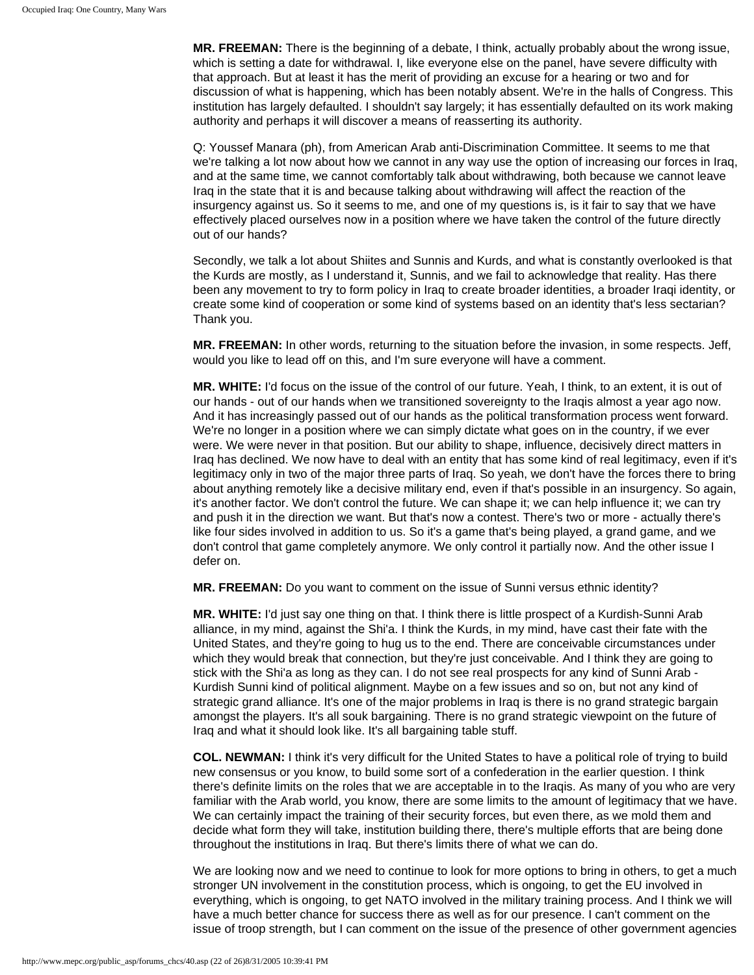**MR. FREEMAN:** There is the beginning of a debate, I think, actually probably about the wrong issue, which is setting a date for withdrawal. I, like everyone else on the panel, have severe difficulty with that approach. But at least it has the merit of providing an excuse for a hearing or two and for discussion of what is happening, which has been notably absent. We're in the halls of Congress. This institution has largely defaulted. I shouldn't say largely; it has essentially defaulted on its work making authority and perhaps it will discover a means of reasserting its authority.

Q: Youssef Manara (ph), from American Arab anti-Discrimination Committee. It seems to me that we're talking a lot now about how we cannot in any way use the option of increasing our forces in Iraq, and at the same time, we cannot comfortably talk about withdrawing, both because we cannot leave Iraq in the state that it is and because talking about withdrawing will affect the reaction of the insurgency against us. So it seems to me, and one of my questions is, is it fair to say that we have effectively placed ourselves now in a position where we have taken the control of the future directly out of our hands?

Secondly, we talk a lot about Shiites and Sunnis and Kurds, and what is constantly overlooked is that the Kurds are mostly, as I understand it, Sunnis, and we fail to acknowledge that reality. Has there been any movement to try to form policy in Iraq to create broader identities, a broader Iraqi identity, or create some kind of cooperation or some kind of systems based on an identity that's less sectarian? Thank you.

**MR. FREEMAN:** In other words, returning to the situation before the invasion, in some respects. Jeff, would you like to lead off on this, and I'm sure everyone will have a comment.

**MR. WHITE:** I'd focus on the issue of the control of our future. Yeah, I think, to an extent, it is out of our hands - out of our hands when we transitioned sovereignty to the Iraqis almost a year ago now. And it has increasingly passed out of our hands as the political transformation process went forward. We're no longer in a position where we can simply dictate what goes on in the country, if we ever were. We were never in that position. But our ability to shape, influence, decisively direct matters in Iraq has declined. We now have to deal with an entity that has some kind of real legitimacy, even if it's legitimacy only in two of the major three parts of Iraq. So yeah, we don't have the forces there to bring about anything remotely like a decisive military end, even if that's possible in an insurgency. So again, it's another factor. We don't control the future. We can shape it; we can help influence it; we can try and push it in the direction we want. But that's now a contest. There's two or more - actually there's like four sides involved in addition to us. So it's a game that's being played, a grand game, and we don't control that game completely anymore. We only control it partially now. And the other issue I defer on.

**MR. FREEMAN:** Do you want to comment on the issue of Sunni versus ethnic identity?

**MR. WHITE:** I'd just say one thing on that. I think there is little prospect of a Kurdish-Sunni Arab alliance, in my mind, against the Shi'a. I think the Kurds, in my mind, have cast their fate with the United States, and they're going to hug us to the end. There are conceivable circumstances under which they would break that connection, but they're just conceivable. And I think they are going to stick with the Shi'a as long as they can. I do not see real prospects for any kind of Sunni Arab - Kurdish Sunni kind of political alignment. Maybe on a few issues and so on, but not any kind of strategic grand alliance. It's one of the major problems in Iraq is there is no grand strategic bargain amongst the players. It's all souk bargaining. There is no grand strategic viewpoint on the future of Iraq and what it should look like. It's all bargaining table stuff.

**COL. NEWMAN:** I think it's very difficult for the United States to have a political role of trying to build new consensus or you know, to build some sort of a confederation in the earlier question. I think there's definite limits on the roles that we are acceptable in to the Iraqis. As many of you who are very familiar with the Arab world, you know, there are some limits to the amount of legitimacy that we have. We can certainly impact the training of their security forces, but even there, as we mold them and decide what form they will take, institution building there, there's multiple efforts that are being done throughout the institutions in Iraq. But there's limits there of what we can do.

We are looking now and we need to continue to look for more options to bring in others, to get a much stronger UN involvement in the constitution process, which is ongoing, to get the EU involved in everything, which is ongoing, to get NATO involved in the military training process. And I think we will have a much better chance for success there as well as for our presence. I can't comment on the issue of troop strength, but I can comment on the issue of the presence of other government agencies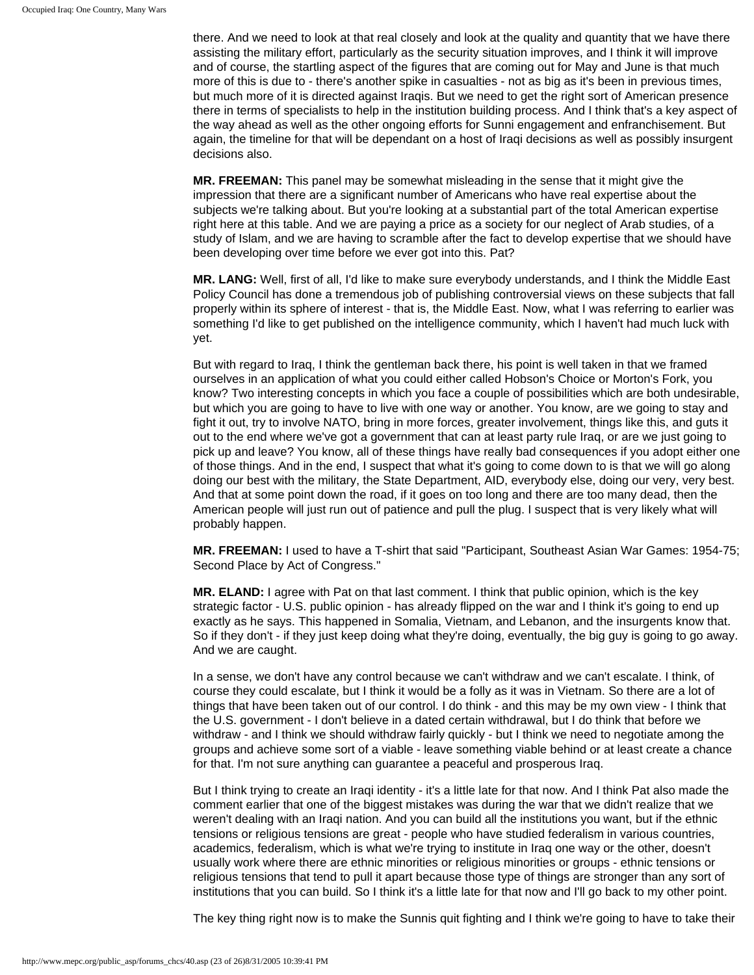there. And we need to look at that real closely and look at the quality and quantity that we have there assisting the military effort, particularly as the security situation improves, and I think it will improve and of course, the startling aspect of the figures that are coming out for May and June is that much more of this is due to - there's another spike in casualties - not as big as it's been in previous times, but much more of it is directed against Iraqis. But we need to get the right sort of American presence there in terms of specialists to help in the institution building process. And I think that's a key aspect of the way ahead as well as the other ongoing efforts for Sunni engagement and enfranchisement. But again, the timeline for that will be dependant on a host of Iraqi decisions as well as possibly insurgent decisions also.

**MR. FREEMAN:** This panel may be somewhat misleading in the sense that it might give the impression that there are a significant number of Americans who have real expertise about the subjects we're talking about. But you're looking at a substantial part of the total American expertise right here at this table. And we are paying a price as a society for our neglect of Arab studies, of a study of Islam, and we are having to scramble after the fact to develop expertise that we should have been developing over time before we ever got into this. Pat?

**MR. LANG:** Well, first of all, I'd like to make sure everybody understands, and I think the Middle East Policy Council has done a tremendous job of publishing controversial views on these subjects that fall properly within its sphere of interest - that is, the Middle East. Now, what I was referring to earlier was something I'd like to get published on the intelligence community, which I haven't had much luck with yet.

But with regard to Iraq, I think the gentleman back there, his point is well taken in that we framed ourselves in an application of what you could either called Hobson's Choice or Morton's Fork, you know? Two interesting concepts in which you face a couple of possibilities which are both undesirable, but which you are going to have to live with one way or another. You know, are we going to stay and fight it out, try to involve NATO, bring in more forces, greater involvement, things like this, and guts it out to the end where we've got a government that can at least party rule Iraq, or are we just going to pick up and leave? You know, all of these things have really bad consequences if you adopt either one of those things. And in the end, I suspect that what it's going to come down to is that we will go along doing our best with the military, the State Department, AID, everybody else, doing our very, very best. And that at some point down the road, if it goes on too long and there are too many dead, then the American people will just run out of patience and pull the plug. I suspect that is very likely what will probably happen.

**MR. FREEMAN:** I used to have a T-shirt that said "Participant, Southeast Asian War Games: 1954-75; Second Place by Act of Congress."

**MR. ELAND:** I agree with Pat on that last comment. I think that public opinion, which is the key strategic factor - U.S. public opinion - has already flipped on the war and I think it's going to end up exactly as he says. This happened in Somalia, Vietnam, and Lebanon, and the insurgents know that. So if they don't - if they just keep doing what they're doing, eventually, the big guy is going to go away. And we are caught.

In a sense, we don't have any control because we can't withdraw and we can't escalate. I think, of course they could escalate, but I think it would be a folly as it was in Vietnam. So there are a lot of things that have been taken out of our control. I do think - and this may be my own view - I think that the U.S. government - I don't believe in a dated certain withdrawal, but I do think that before we withdraw - and I think we should withdraw fairly quickly - but I think we need to negotiate among the groups and achieve some sort of a viable - leave something viable behind or at least create a chance for that. I'm not sure anything can guarantee a peaceful and prosperous Iraq.

But I think trying to create an Iraqi identity - it's a little late for that now. And I think Pat also made the comment earlier that one of the biggest mistakes was during the war that we didn't realize that we weren't dealing with an Iraqi nation. And you can build all the institutions you want, but if the ethnic tensions or religious tensions are great - people who have studied federalism in various countries, academics, federalism, which is what we're trying to institute in Iraq one way or the other, doesn't usually work where there are ethnic minorities or religious minorities or groups - ethnic tensions or religious tensions that tend to pull it apart because those type of things are stronger than any sort of institutions that you can build. So I think it's a little late for that now and I'll go back to my other point.

The key thing right now is to make the Sunnis quit fighting and I think we're going to have to take their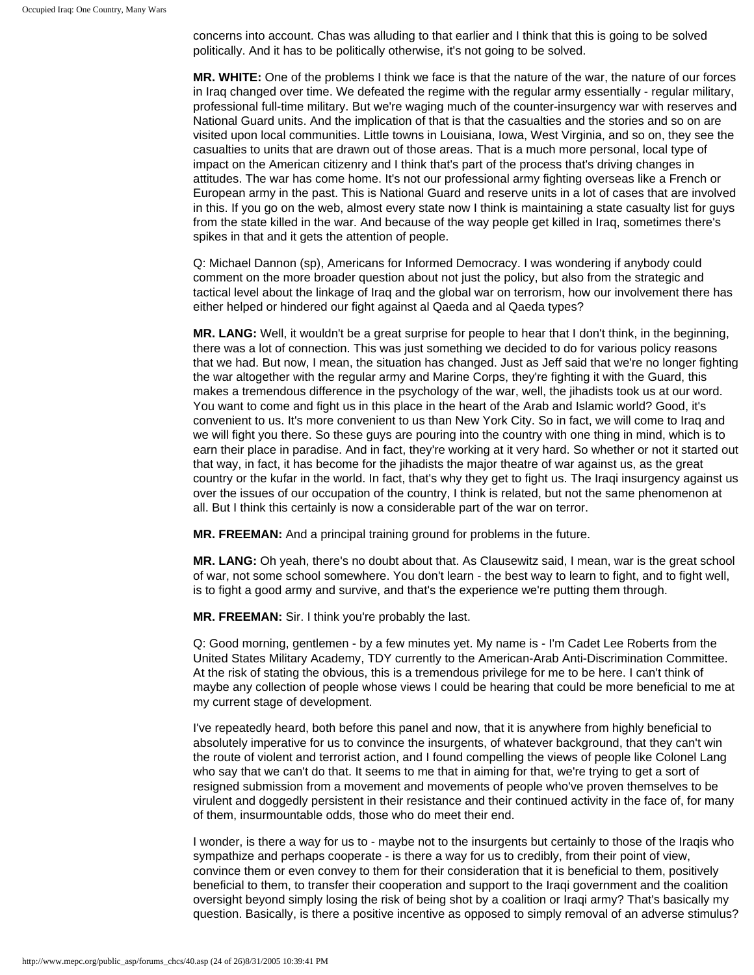concerns into account. Chas was alluding to that earlier and I think that this is going to be solved politically. And it has to be politically otherwise, it's not going to be solved.

**MR. WHITE:** One of the problems I think we face is that the nature of the war, the nature of our forces in Iraq changed over time. We defeated the regime with the regular army essentially - regular military, professional full-time military. But we're waging much of the counter-insurgency war with reserves and National Guard units. And the implication of that is that the casualties and the stories and so on are visited upon local communities. Little towns in Louisiana, Iowa, West Virginia, and so on, they see the casualties to units that are drawn out of those areas. That is a much more personal, local type of impact on the American citizenry and I think that's part of the process that's driving changes in attitudes. The war has come home. It's not our professional army fighting overseas like a French or European army in the past. This is National Guard and reserve units in a lot of cases that are involved in this. If you go on the web, almost every state now I think is maintaining a state casualty list for guys from the state killed in the war. And because of the way people get killed in Iraq, sometimes there's spikes in that and it gets the attention of people.

Q: Michael Dannon (sp), Americans for Informed Democracy. I was wondering if anybody could comment on the more broader question about not just the policy, but also from the strategic and tactical level about the linkage of Iraq and the global war on terrorism, how our involvement there has either helped or hindered our fight against al Qaeda and al Qaeda types?

**MR. LANG:** Well, it wouldn't be a great surprise for people to hear that I don't think, in the beginning, there was a lot of connection. This was just something we decided to do for various policy reasons that we had. But now, I mean, the situation has changed. Just as Jeff said that we're no longer fighting the war altogether with the regular army and Marine Corps, they're fighting it with the Guard, this makes a tremendous difference in the psychology of the war, well, the jihadists took us at our word. You want to come and fight us in this place in the heart of the Arab and Islamic world? Good, it's convenient to us. It's more convenient to us than New York City. So in fact, we will come to Iraq and we will fight you there. So these guys are pouring into the country with one thing in mind, which is to earn their place in paradise. And in fact, they're working at it very hard. So whether or not it started out that way, in fact, it has become for the jihadists the major theatre of war against us, as the great country or the kufar in the world. In fact, that's why they get to fight us. The Iraqi insurgency against us over the issues of our occupation of the country, I think is related, but not the same phenomenon at all. But I think this certainly is now a considerable part of the war on terror.

**MR. FREEMAN:** And a principal training ground for problems in the future.

**MR. LANG:** Oh yeah, there's no doubt about that. As Clausewitz said, I mean, war is the great school of war, not some school somewhere. You don't learn - the best way to learn to fight, and to fight well, is to fight a good army and survive, and that's the experience we're putting them through.

**MR. FREEMAN:** Sir. I think you're probably the last.

Q: Good morning, gentlemen - by a few minutes yet. My name is - I'm Cadet Lee Roberts from the United States Military Academy, TDY currently to the American-Arab Anti-Discrimination Committee. At the risk of stating the obvious, this is a tremendous privilege for me to be here. I can't think of maybe any collection of people whose views I could be hearing that could be more beneficial to me at my current stage of development.

I've repeatedly heard, both before this panel and now, that it is anywhere from highly beneficial to absolutely imperative for us to convince the insurgents, of whatever background, that they can't win the route of violent and terrorist action, and I found compelling the views of people like Colonel Lang who say that we can't do that. It seems to me that in aiming for that, we're trying to get a sort of resigned submission from a movement and movements of people who've proven themselves to be virulent and doggedly persistent in their resistance and their continued activity in the face of, for many of them, insurmountable odds, those who do meet their end.

I wonder, is there a way for us to - maybe not to the insurgents but certainly to those of the Iraqis who sympathize and perhaps cooperate - is there a way for us to credibly, from their point of view, convince them or even convey to them for their consideration that it is beneficial to them, positively beneficial to them, to transfer their cooperation and support to the Iraqi government and the coalition oversight beyond simply losing the risk of being shot by a coalition or Iraqi army? That's basically my question. Basically, is there a positive incentive as opposed to simply removal of an adverse stimulus?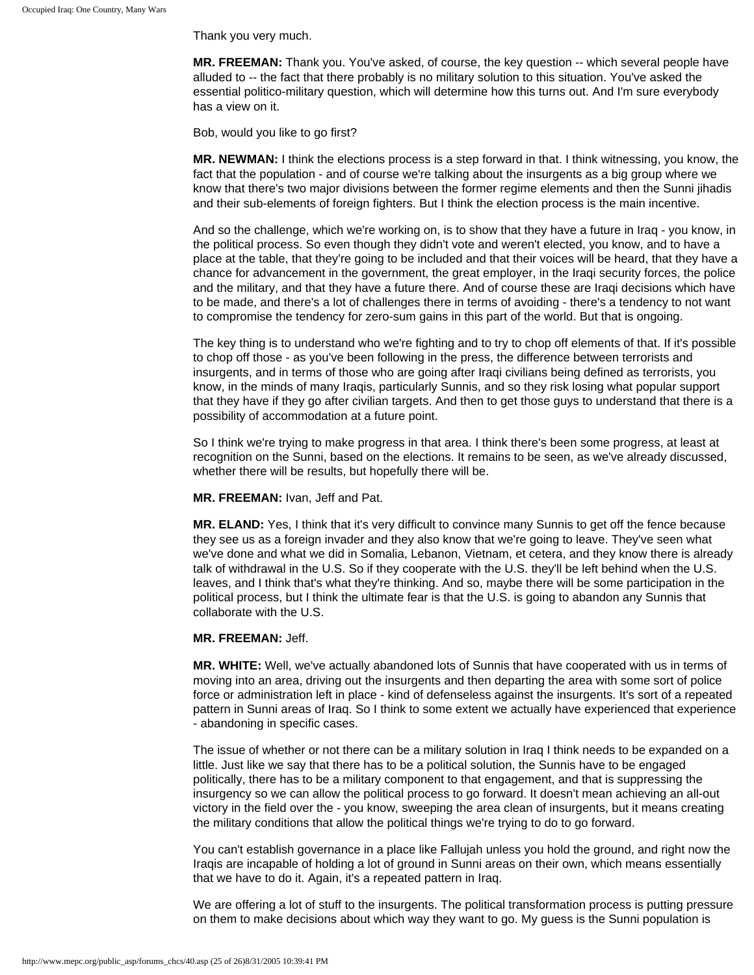Thank you very much.

**MR. FREEMAN:** Thank you. You've asked, of course, the key question -- which several people have alluded to -- the fact that there probably is no military solution to this situation. You've asked the essential politico-military question, which will determine how this turns out. And I'm sure everybody has a view on it.

Bob, would you like to go first?

**MR. NEWMAN:** I think the elections process is a step forward in that. I think witnessing, you know, the fact that the population - and of course we're talking about the insurgents as a big group where we know that there's two major divisions between the former regime elements and then the Sunni jihadis and their sub-elements of foreign fighters. But I think the election process is the main incentive.

And so the challenge, which we're working on, is to show that they have a future in Iraq - you know, in the political process. So even though they didn't vote and weren't elected, you know, and to have a place at the table, that they're going to be included and that their voices will be heard, that they have a chance for advancement in the government, the great employer, in the Iraqi security forces, the police and the military, and that they have a future there. And of course these are Iraqi decisions which have to be made, and there's a lot of challenges there in terms of avoiding - there's a tendency to not want to compromise the tendency for zero-sum gains in this part of the world. But that is ongoing.

The key thing is to understand who we're fighting and to try to chop off elements of that. If it's possible to chop off those - as you've been following in the press, the difference between terrorists and insurgents, and in terms of those who are going after Iraqi civilians being defined as terrorists, you know, in the minds of many Iraqis, particularly Sunnis, and so they risk losing what popular support that they have if they go after civilian targets. And then to get those guys to understand that there is a possibility of accommodation at a future point.

So I think we're trying to make progress in that area. I think there's been some progress, at least at recognition on the Sunni, based on the elections. It remains to be seen, as we've already discussed, whether there will be results, but hopefully there will be.

**MR. FREEMAN:** Ivan, Jeff and Pat.

**MR. ELAND:** Yes, I think that it's very difficult to convince many Sunnis to get off the fence because they see us as a foreign invader and they also know that we're going to leave. They've seen what we've done and what we did in Somalia, Lebanon, Vietnam, et cetera, and they know there is already talk of withdrawal in the U.S. So if they cooperate with the U.S. they'll be left behind when the U.S. leaves, and I think that's what they're thinking. And so, maybe there will be some participation in the political process, but I think the ultimate fear is that the U.S. is going to abandon any Sunnis that collaborate with the U.S.

## **MR. FREEMAN:** Jeff.

**MR. WHITE:** Well, we've actually abandoned lots of Sunnis that have cooperated with us in terms of moving into an area, driving out the insurgents and then departing the area with some sort of police force or administration left in place - kind of defenseless against the insurgents. It's sort of a repeated pattern in Sunni areas of Iraq. So I think to some extent we actually have experienced that experience - abandoning in specific cases.

The issue of whether or not there can be a military solution in Iraq I think needs to be expanded on a little. Just like we say that there has to be a political solution, the Sunnis have to be engaged politically, there has to be a military component to that engagement, and that is suppressing the insurgency so we can allow the political process to go forward. It doesn't mean achieving an all-out victory in the field over the - you know, sweeping the area clean of insurgents, but it means creating the military conditions that allow the political things we're trying to do to go forward.

You can't establish governance in a place like Fallujah unless you hold the ground, and right now the Iraqis are incapable of holding a lot of ground in Sunni areas on their own, which means essentially that we have to do it. Again, it's a repeated pattern in Iraq.

We are offering a lot of stuff to the insurgents. The political transformation process is putting pressure on them to make decisions about which way they want to go. My guess is the Sunni population is